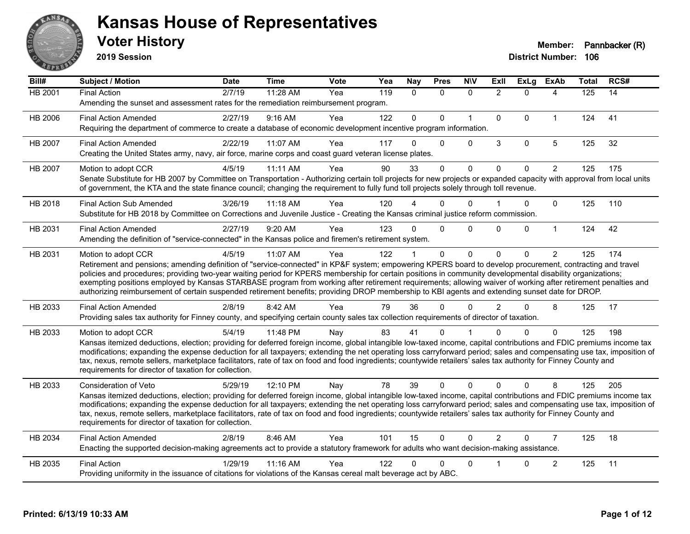

**2019 Session**

| Bill#          | Subject / Motion                                                                                                                                                                                                                                                                                                                                                                                                                                                                                                                                                                                                                                                   | <b>Date</b> | <b>Time</b> | <b>Vote</b> | Yea | <b>Nay</b>   | <b>Pres</b>  | <b>NIV</b>   | <b>ExII</b>    | <b>ExLg</b>  | <b>ExAb</b>    | <b>Total</b>     | RCS# |
|----------------|--------------------------------------------------------------------------------------------------------------------------------------------------------------------------------------------------------------------------------------------------------------------------------------------------------------------------------------------------------------------------------------------------------------------------------------------------------------------------------------------------------------------------------------------------------------------------------------------------------------------------------------------------------------------|-------------|-------------|-------------|-----|--------------|--------------|--------------|----------------|--------------|----------------|------------------|------|
| <b>HB 2001</b> | <b>Final Action</b><br>Amending the sunset and assessment rates for the remediation reimbursement program.                                                                                                                                                                                                                                                                                                                                                                                                                                                                                                                                                         | 2/7/19      | 11:28 AM    | Yea         | 119 | $\mathbf{0}$ | $\mathbf{0}$ | $\mathbf{0}$ | $\overline{2}$ | $\Omega$     | 4              | $\overline{125}$ | 14   |
| HB 2006        | <b>Final Action Amended</b><br>Requiring the department of commerce to create a database of economic development incentive program information.                                                                                                                                                                                                                                                                                                                                                                                                                                                                                                                    | 2/27/19     | $9:16$ AM   | Yea         | 122 | $\Omega$     | $\Omega$     | $\mathbf{1}$ | $\Omega$       | $\Omega$     | $\mathbf{1}$   | 124              | 41   |
| HB 2007        | <b>Final Action Amended</b><br>Creating the United States army, navy, air force, marine corps and coast guard veteran license plates.                                                                                                                                                                                                                                                                                                                                                                                                                                                                                                                              | 2/22/19     | 11:07 AM    | Yea         | 117 | 0            | $\mathbf{0}$ | $\Omega$     | 3              | $\mathbf 0$  | $\overline{5}$ | 125              | 32   |
| HB 2007        | Motion to adopt CCR<br>Senate Substitute for HB 2007 by Committee on Transportation - Authorizing certain toll projects for new projects or expanded capacity with approval from local units<br>of government, the KTA and the state finance council; changing the requirement to fully fund toll projects solely through toll revenue.                                                                                                                                                                                                                                                                                                                            | 4/5/19      | 11:11 AM    | Yea         | 90  | 33           | $\Omega$     | $\mathbf 0$  | $\Omega$       | $\Omega$     | $\overline{2}$ | 125              | 175  |
| HB 2018        | <b>Final Action Sub Amended</b><br>Substitute for HB 2018 by Committee on Corrections and Juvenile Justice - Creating the Kansas criminal justice reform commission.                                                                                                                                                                                                                                                                                                                                                                                                                                                                                               | 3/26/19     | 11:18 AM    | Yea         | 120 |              | 0            | $\Omega$     |                | 0            | $\mathbf 0$    | 125              | 110  |
| HB 2031        | <b>Final Action Amended</b><br>Amending the definition of "service-connected" in the Kansas police and firemen's retirement system.                                                                                                                                                                                                                                                                                                                                                                                                                                                                                                                                | 2/27/19     | 9:20 AM     | Yea         | 123 | 0            | $\Omega$     | $\Omega$     | $\Omega$       | $\mathbf{0}$ | $\mathbf{1}$   | 124              | 42   |
| HB 2031        | Motion to adopt CCR<br>Retirement and pensions; amending definition of "service-connected" in KP&F system; empowering KPERS board to develop procurement, contracting and travel<br>policies and procedures; providing two-year waiting period for KPERS membership for certain positions in community developmental disability organizations;<br>exempting positions employed by Kansas STARBASE program from working after retirement requirements; allowing waiver of working after retirement penalties and<br>authorizing reimbursement of certain suspended retirement benefits; providing DROP membership to KBI agents and extending sunset date for DROP. | 4/5/19      | 11:07 AM    | Yea         | 122 |              | $\Omega$     | $\Omega$     | $\Omega$       | $\Omega$     | $\overline{2}$ | 125              | 174  |
| HB 2033        | <b>Final Action Amended</b><br>Providing sales tax authority for Finney county, and specifying certain county sales tax collection requirements of director of taxation.                                                                                                                                                                                                                                                                                                                                                                                                                                                                                           | 2/8/19      | 8:42 AM     | Yea         | 79  | 36           | $\Omega$     | $\Omega$     | $\overline{2}$ | $\Omega$     | 8              | 125              | 17   |
| HB 2033        | Motion to adopt CCR<br>Kansas itemized deductions, election; providing for deferred foreign income, global intangible low-taxed income, capital contributions and FDIC premiums income tax<br>modifications; expanding the expense deduction for all taxpayers; extending the net operating loss carryforward period; sales and compensating use tax, imposition of<br>tax, nexus, remote sellers, marketplace facilitators, rate of tax on food and food ingredients; countywide retailers' sales tax authority for Finney County and<br>requirements for director of taxation for collection.                                                                    | 5/4/19      | 11:48 PM    | Nay         | 83  | 41           | 0            |              |                | $\Omega$     | $\Omega$       | 125              | 198  |
| HB 2033        | <b>Consideration of Veto</b><br>Kansas itemized deductions, election; providing for deferred foreign income, global intangible low-taxed income, capital contributions and FDIC premiums income tax<br>modifications; expanding the expense deduction for all taxpayers; extending the net operating loss carryforward period; sales and compensating use tax, imposition of<br>tax, nexus, remote sellers, marketplace facilitators, rate of tax on food and food ingredients; countywide retailers' sales tax authority for Finney County and<br>requirements for director of taxation for collection.                                                           | 5/29/19     | 12:10 PM    | Nay         | 78  | 39           | $\Omega$     | $\Omega$     | $\Omega$       | $\Omega$     | 8              | 125              | 205  |
| HB 2034        | <b>Final Action Amended</b><br>Enacting the supported decision-making agreements act to provide a statutory framework for adults who want decision-making assistance.                                                                                                                                                                                                                                                                                                                                                                                                                                                                                              | 2/8/19      | 8:46 AM     | Yea         | 101 | 15           | $\Omega$     | $\Omega$     | $\mathcal{P}$  | $\Omega$     | $\overline{7}$ | 125              | 18   |
| HB 2035        | <b>Final Action</b><br>Providing uniformity in the issuance of citations for violations of the Kansas cereal malt beverage act by ABC.                                                                                                                                                                                                                                                                                                                                                                                                                                                                                                                             | 1/29/19     | 11:16 AM    | Yea         | 122 | $\Omega$     | 0            | 0            |                | 0            | $\overline{c}$ | 125              | 11   |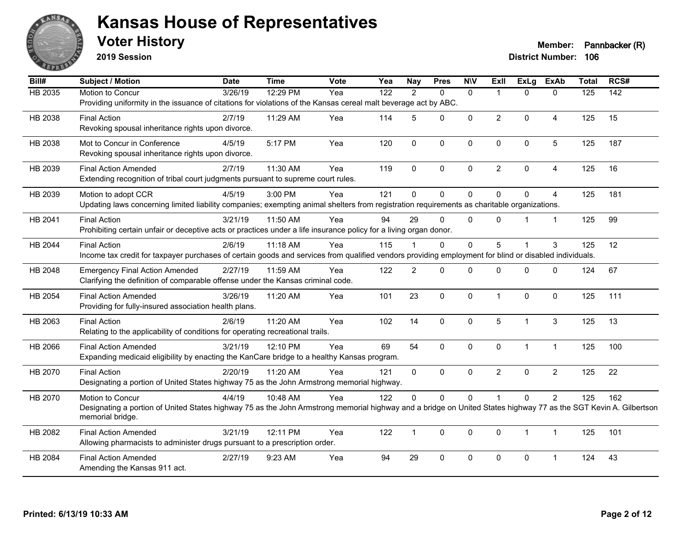

**2019 Session**

**Voter History Member: Pannbacker (R)** 

| Bill#          | Subject / Motion                                                                                                                                                 | <b>Date</b>          | <b>Time</b> | Vote | Yea              | <b>Nay</b>     | <b>Pres</b> | <b>NIV</b>   | ExII           | <b>ExLg</b>  | <b>ExAb</b>    | <b>Total</b>     | RCS#             |
|----------------|------------------------------------------------------------------------------------------------------------------------------------------------------------------|----------------------|-------------|------|------------------|----------------|-------------|--------------|----------------|--------------|----------------|------------------|------------------|
| <b>HB 2035</b> | Motion to Concur                                                                                                                                                 | $\overline{3}/26/19$ | 12:29 PM    | Yea  | $\overline{122}$ | $\overline{2}$ | $\Omega$    | $\Omega$     | $\overline{1}$ | $\Omega$     | $\Omega$       | $\overline{125}$ | $\overline{142}$ |
|                | Providing uniformity in the issuance of citations for violations of the Kansas cereal malt beverage act by ABC.                                                  |                      |             |      |                  |                |             |              |                |              |                |                  |                  |
| HB 2038        | <b>Final Action</b>                                                                                                                                              | 2/7/19               | 11:29 AM    | Yea  | 114              | 5              | 0           | $\mathbf 0$  | $\overline{2}$ | $\Omega$     | 4              | 125              | 15               |
|                | Revoking spousal inheritance rights upon divorce.                                                                                                                |                      |             |      |                  |                |             |              |                |              |                |                  |                  |
| HB 2038        | Mot to Concur in Conference                                                                                                                                      | 4/5/19               | 5:17 PM     | Yea  | 120              | 0              | 0           | $\mathbf 0$  | 0              | 0            | 5              | 125              | 187              |
|                | Revoking spousal inheritance rights upon divorce.                                                                                                                |                      |             |      |                  |                |             |              |                |              |                |                  |                  |
|                | <b>Final Action Amended</b>                                                                                                                                      | 2/7/19               | 11:30 AM    | Yea  | 119              | $\Omega$       | 0           | $\Omega$     | $\overline{2}$ | $\Omega$     | $\overline{4}$ | 125              | 16               |
| HB 2039        | Extending recognition of tribal court judgments pursuant to supreme court rules.                                                                                 |                      |             |      |                  |                |             |              |                |              |                |                  |                  |
|                |                                                                                                                                                                  |                      |             |      |                  |                |             |              |                |              |                |                  |                  |
| HB 2039        | Motion to adopt CCR                                                                                                                                              | 4/5/19               | 3:00 PM     | Yea  | 121              | $\Omega$       | $\Omega$    | $\mathbf 0$  | $\Omega$       | $\Omega$     | $\overline{4}$ | 125              | 181              |
|                | Updating laws concerning limited liability companies; exempting animal shelters from registration requirements as charitable organizations.                      |                      |             |      |                  |                |             |              |                |              |                |                  |                  |
| HB 2041        | <b>Final Action</b>                                                                                                                                              | 3/21/19              | 11:50 AM    | Yea  | 94               | 29             | $\Omega$    | $\mathbf 0$  | $\Omega$       | 1            | $\mathbf{1}$   | 125              | 99               |
|                | Prohibiting certain unfair or deceptive acts or practices under a life insurance policy for a living organ donor.                                                |                      |             |      |                  |                |             |              |                |              |                |                  |                  |
| HB 2044        | <b>Final Action</b>                                                                                                                                              | 2/6/19               | 11:18 AM    | Yea  | 115              |                | $\Omega$    | $\Omega$     | 5              | 1            | 3              | 125              | 12               |
|                | Income tax credit for taxpayer purchases of certain goods and services from qualified vendors providing employment for blind or disabled individuals.            |                      |             |      |                  |                |             |              |                |              |                |                  |                  |
| HB 2048        | <b>Emergency Final Action Amended</b>                                                                                                                            | 2/27/19              | 11:59 AM    | Yea  | 122              | $\overline{c}$ | $\mathbf 0$ | $\Omega$     | $\Omega$       | $\Omega$     | $\Omega$       | 124              | 67               |
|                | Clarifying the definition of comparable offense under the Kansas criminal code.                                                                                  |                      |             |      |                  |                |             |              |                |              |                |                  |                  |
|                |                                                                                                                                                                  | 3/26/19              |             |      |                  | 23             | $\Omega$    | $\pmb{0}$    | $\mathbf{1}$   | $\Omega$     | $\mathbf 0$    | 125              | 111              |
| HB 2054        | <b>Final Action Amended</b><br>Providing for fully-insured association health plans.                                                                             |                      | 11:20 AM    | Yea  | 101              |                |             |              |                |              |                |                  |                  |
|                |                                                                                                                                                                  |                      |             |      |                  |                |             |              |                |              |                |                  |                  |
| HB 2063        | <b>Final Action</b>                                                                                                                                              | 2/6/19               | 11:20 AM    | Yea  | 102              | 14             | $\mathbf 0$ | 0            | 5              | 1            | $\mathfrak{S}$ | 125              | 13               |
|                | Relating to the applicability of conditions for operating recreational trails.                                                                                   |                      |             |      |                  |                |             |              |                |              |                |                  |                  |
| HB 2066        | <b>Final Action Amended</b>                                                                                                                                      | 3/21/19              | 12:10 PM    | Yea  | 69               | 54             | 0           | $\mathbf 0$  | 0              | $\mathbf{1}$ | $\mathbf{1}$   | 125              | 100              |
|                | Expanding medicaid eligibility by enacting the KanCare bridge to a healthy Kansas program.                                                                       |                      |             |      |                  |                |             |              |                |              |                |                  |                  |
| HB 2070        | <b>Final Action</b>                                                                                                                                              | 2/20/19              | 11:20 AM    | Yea  | 121              | $\Omega$       | $\Omega$    | $\mathbf{0}$ | $\overline{2}$ | $\Omega$     | $\overline{2}$ | 125              | 22               |
|                | Designating a portion of United States highway 75 as the John Armstrong memorial highway.                                                                        |                      |             |      |                  |                |             |              |                |              |                |                  |                  |
| HB 2070        | Motion to Concur                                                                                                                                                 | 4/4/19               | 10:48 AM    | Yea  | 122              | 0              | 0           | $\mathbf 0$  |                | $\mathbf 0$  | $\overline{2}$ | 125              | 162              |
|                | Designating a portion of United States highway 75 as the John Armstrong memorial highway and a bridge on United States highway 77 as the SGT Kevin A. Gilbertson |                      |             |      |                  |                |             |              |                |              |                |                  |                  |
|                | memorial bridge.                                                                                                                                                 |                      |             |      |                  |                |             |              |                |              |                |                  |                  |
| HB 2082        | <b>Final Action Amended</b>                                                                                                                                      | 3/21/19              | 12:11 PM    | Yea  | 122              | $\mathbf{1}$   | $\Omega$    | $\mathbf 0$  | $\Omega$       | $\mathbf{1}$ | $\mathbf{1}$   | 125              | 101              |
|                | Allowing pharmacists to administer drugs pursuant to a prescription order.                                                                                       |                      |             |      |                  |                |             |              |                |              |                |                  |                  |
|                | <b>Final Action Amended</b>                                                                                                                                      |                      | 9:23 AM     | Yea  | 94               | 29             | 0           | $\mathbf 0$  | 0              | $\mathbf 0$  | $\mathbf 1$    | 124              | 43               |
| HB 2084        | Amending the Kansas 911 act.                                                                                                                                     | 2/27/19              |             |      |                  |                |             |              |                |              |                |                  |                  |
|                |                                                                                                                                                                  |                      |             |      |                  |                |             |              |                |              |                |                  |                  |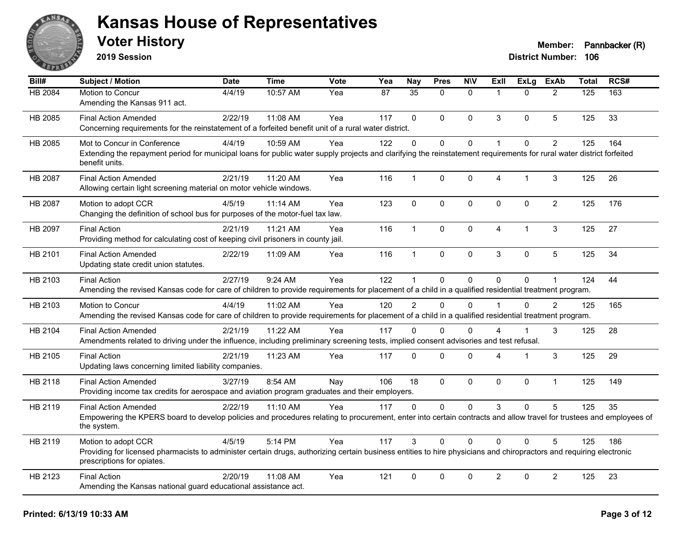

**2019 Session**

| Bill#          | <b>Subject / Motion</b>                                                                                                                                                                           | <b>Date</b> | <b>Time</b> | <b>Vote</b> | Yea | <b>Nay</b>     | <b>Pres</b>  | <b>N\V</b>   | ExII           | <b>ExLg</b> | <b>ExAb</b>    | <b>Total</b>     | RCS# |
|----------------|---------------------------------------------------------------------------------------------------------------------------------------------------------------------------------------------------|-------------|-------------|-------------|-----|----------------|--------------|--------------|----------------|-------------|----------------|------------------|------|
| <b>HB 2084</b> | Motion to Concur                                                                                                                                                                                  | 4/4/19      | 10:57 AM    | Yea         | 87  | 35             | $\Omega$     | $\mathbf{0}$ | $\overline{1}$ | $\Omega$    | 2              | $\overline{125}$ | 163  |
|                | Amending the Kansas 911 act.                                                                                                                                                                      |             |             |             |     |                |              |              |                |             |                |                  |      |
| HB 2085        | <b>Final Action Amended</b>                                                                                                                                                                       | 2/22/19     | 11:08 AM    | Yea         | 117 | $\mathbf{0}$   | $\Omega$     | $\Omega$     | 3              | $\Omega$    | 5              | 125              | 33   |
|                | Concerning requirements for the reinstatement of a forfeited benefit unit of a rural water district.                                                                                              |             |             |             |     |                |              |              |                |             |                |                  |      |
| HB 2085        | Mot to Concur in Conference                                                                                                                                                                       | 4/4/19      | 10:59 AM    | Yea         | 122 | $\Omega$       | $\Omega$     | 0            | $\overline{1}$ | $\Omega$    | $\overline{2}$ | 125              | 164  |
|                | Extending the repayment period for municipal loans for public water supply projects and clarifying the reinstatement requirements for rural water district forfeited<br>benefit units.            |             |             |             |     |                |              |              |                |             |                |                  |      |
| HB 2087        | <b>Final Action Amended</b>                                                                                                                                                                       | 2/21/19     | 11:20 AM    | Yea         | 116 | $\mathbf{1}$   | $\mathbf 0$  | $\pmb{0}$    | 4              | 1           | 3              | 125              | 26   |
|                | Allowing certain light screening material on motor vehicle windows.                                                                                                                               |             |             |             |     |                |              |              |                |             |                |                  |      |
| HB 2087        | Motion to adopt CCR                                                                                                                                                                               | 4/5/19      | 11:14 AM    | Yea         | 123 | $\mathbf{0}$   | $\Omega$     | $\mathbf 0$  | $\Omega$       | $\mathbf 0$ | $\overline{2}$ | 125              | 176  |
|                | Changing the definition of school bus for purposes of the motor-fuel tax law.                                                                                                                     |             |             |             |     |                |              |              |                |             |                |                  |      |
| HB 2097        | <b>Final Action</b>                                                                                                                                                                               | 2/21/19     | 11:21 AM    | Yea         | 116 | $\mathbf{1}$   | $\Omega$     | $\Omega$     | $\overline{4}$ | 1           | 3              | 125              | 27   |
|                | Providing method for calculating cost of keeping civil prisoners in county jail.                                                                                                                  |             |             |             |     |                |              |              |                |             |                |                  |      |
| HB 2101        | <b>Final Action Amended</b>                                                                                                                                                                       | 2/22/19     | 11:09 AM    | Yea         | 116 | $\mathbf{1}$   | 0            | 0            | 3              | 0           | 5              | 125              | 34   |
|                | Updating state credit union statutes.                                                                                                                                                             |             |             |             |     |                |              |              |                |             |                |                  |      |
| HB 2103        | <b>Final Action</b>                                                                                                                                                                               | 2/27/19     | 9:24 AM     | Yea         | 122 | $\mathbf{1}$   | 0            | 0            | $\Omega$       | $\Omega$    | $\mathbf 1$    | 124              | 44   |
|                | Amending the revised Kansas code for care of children to provide requirements for placement of a child in a qualified residential treatment program.                                              |             |             |             |     |                |              |              |                |             |                |                  |      |
| HB 2103        | Motion to Concur                                                                                                                                                                                  | 4/4/19      | 11:02 AM    | Yea         | 120 | $\overline{2}$ | $\Omega$     | $\Omega$     |                | $\mathbf 0$ | 2              | 125              | 165  |
|                | Amending the revised Kansas code for care of children to provide requirements for placement of a child in a qualified residential treatment program.                                              |             |             |             |     |                |              |              |                |             |                |                  |      |
| HB 2104        | <b>Final Action Amended</b>                                                                                                                                                                       | 2/21/19     | 11:22 AM    | Yea         | 117 | 0              | 0            | $\Omega$     | 4              | 1           | 3              | 125              | 28   |
|                | Amendments related to driving under the influence, including preliminary screening tests, implied consent advisories and test refusal.                                                            |             |             |             |     |                |              |              |                |             |                |                  |      |
| HB 2105        | <b>Final Action</b>                                                                                                                                                                               | 2/21/19     | 11:23 AM    | Yea         | 117 | $\Omega$       | $\mathbf 0$  | 0            | Δ              | 1           | 3              | 125              | 29   |
|                | Updating laws concerning limited liability companies.                                                                                                                                             |             |             |             |     |                |              |              |                |             |                |                  |      |
| HB 2118        | <b>Final Action Amended</b>                                                                                                                                                                       | 3/27/19     | 8:54 AM     | Nay         | 106 | 18             | 0            | $\mathbf 0$  | $\Omega$       | $\mathbf 0$ | $\mathbf{1}$   | 125              | 149  |
|                | Providing income tax credits for aerospace and aviation program graduates and their employers.                                                                                                    |             |             |             |     |                |              |              |                |             |                |                  |      |
| HB 2119        | <b>Final Action Amended</b>                                                                                                                                                                       | 2/22/19     | 11:10 AM    | Yea         | 117 | $\Omega$       | $\mathbf{0}$ | $\Omega$     | 3              | $\Omega$    | 5              | 125              | 35   |
|                | Empowering the KPERS board to develop policies and procedures relating to procurement, enter into certain contracts and allow travel for trustees and employees of<br>the system.                 |             |             |             |     |                |              |              |                |             |                |                  |      |
| HB 2119        | Motion to adopt CCR                                                                                                                                                                               | 4/5/19      | 5:14 PM     | Yea         | 117 | 3              | $\Omega$     | $\Omega$     | $\Omega$       | $\Omega$    | 5              | 125              | 186  |
|                | Providing for licensed pharmacists to administer certain drugs, authorizing certain business entities to hire physicians and chiropractors and requiring electronic<br>prescriptions for opiates. |             |             |             |     |                |              |              |                |             |                |                  |      |
| HB 2123        | <b>Final Action</b>                                                                                                                                                                               | 2/20/19     | 11:08 AM    | Yea         | 121 | $\mathbf 0$    | 0            | 0            | $\overline{c}$ | 0           | $\overline{2}$ | 125              | 23   |
|                | Amending the Kansas national guard educational assistance act.                                                                                                                                    |             |             |             |     |                |              |              |                |             |                |                  |      |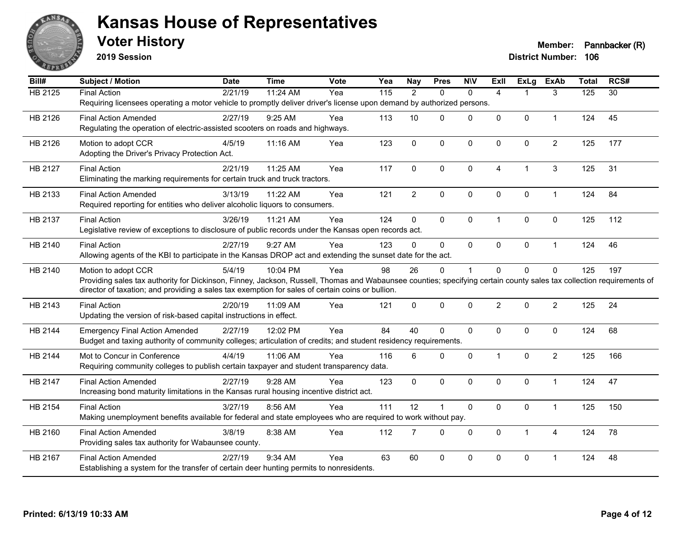

**2019 Session**

| <b>HB 2125</b><br><b>Final Action</b><br>2/21/19<br>11:24 AM<br>$\frac{115}{115}$<br>$\overline{2}$<br>3<br>125<br>$\overline{30}$<br>Yea<br>$\mathbf{0}$<br>$\mathbf{0}$<br>$\overline{4}$<br>1<br>Requiring licensees operating a motor vehicle to promptly deliver driver's license upon demand by authorized persons.<br>0<br>45<br>HB 2126<br>2/27/19<br>9:25 AM<br>113<br>10<br>$\Omega$<br>$\mathbf 0$<br>0<br>124<br><b>Final Action Amended</b><br>Yea<br>$\mathbf{1}$<br>Regulating the operation of electric-assisted scooters on roads and highways.<br>$\Omega$<br>$\mathbf 0$<br>$\overline{c}$<br>125<br>HB 2126<br>4/5/19<br>11:16 AM<br>123<br>$\mathbf 0$<br>$\mathbf{0}$<br>$\mathbf 0$<br>177<br>Motion to adopt CCR<br>Yea<br>Adopting the Driver's Privacy Protection Act.<br>11:25 AM<br>Yea<br>117<br>0<br>$\Omega$<br>$\mathbf 0$<br>3<br>125<br>31<br>HB 2127<br><b>Final Action</b><br>2/21/19<br>4<br>1<br>Eliminating the marking requirements for certain truck and truck tractors.<br>$\overline{2}$<br>$\mathbf 0$<br>$\pmb{0}$<br>0<br>124<br>84<br>HB 2133<br><b>Final Action Amended</b><br>3/13/19<br>11:22 AM<br>Yea<br>121<br>0<br>$\mathbf{1}$<br>Required reporting for entities who deliver alcoholic liquors to consumers.<br>124<br>0<br>$\Omega$<br>$\mathbf{0}$<br>$\mathbf{0}$<br>0<br>112<br>HB 2137<br><b>Final Action</b><br>3/26/19<br>11:21 AM<br>Yea<br>$\mathbf{1}$<br>125<br>Legislative review of exceptions to disclosure of public records under the Kansas open records act.<br>2/27/19<br>9:27 AM<br>123<br>$\Omega$<br>124<br>46<br>HB 2140<br>$\Omega$<br>$\mathbf{0}$<br>$\mathbf{0}$<br>0<br><b>Final Action</b><br>Yea<br>$\mathbf{1}$<br>Allowing agents of the KBI to participate in the Kansas DROP act and extending the sunset date for the act.<br>5/4/19<br>10:04 PM<br>Yea<br>98<br>26<br>$\Omega$<br>$\Omega$<br>0<br>0<br>125<br>197<br>HB 2140<br>Motion to adopt CCR<br>$\mathbf{1}$<br>Providing sales tax authority for Dickinson, Finney, Jackson, Russell, Thomas and Wabaunsee counties; specifying certain county sales tax collection requirements of<br>director of taxation; and providing a sales tax exemption for sales of certain coins or bullion.<br>2<br>$\overline{2}$<br>24<br><b>Final Action</b><br>$\Omega$<br>$\Omega$<br>$\mathbf{0}$<br>$\mathbf{0}$<br>125<br>HB 2143<br>2/20/19<br>11:09 AM<br>Yea<br>121<br>Updating the version of risk-based capital instructions in effect.<br>Yea<br>84<br>40<br>$\Omega$<br>124<br>68<br>HB 2144<br>2/27/19<br>12:02 PM<br>$\mathbf 0$<br>0<br>0<br>0<br><b>Emergency Final Action Amended</b><br>Budget and taxing authority of community colleges; articulation of credits; and student residency requirements.<br>11:06 AM<br>$\Omega$<br>$\mathbf 0$<br>$\mathbf 0$<br>$\overline{c}$<br>125<br>166<br>HB 2144<br>Mot to Concur in Conference<br>4/4/19<br>Yea<br>116<br>6<br>$\mathbf{1}$<br>Requiring community colleges to publish certain taxpayer and student transparency data.<br>$\Omega$<br>$\mathbf{0}$<br>$\Omega$<br>$\mathbf{0}$<br>124<br>47<br>HB 2147<br><b>Final Action Amended</b><br>2/27/19<br>9:28 AM<br>123<br>$\Omega$<br>$\mathbf{1}$<br>Yea<br>Increasing bond maturity limitations in the Kansas rural housing incentive district act.<br>111<br>12<br>$\mathbf 0$<br>0<br>HB 2154<br>3/27/19<br>8:56 AM<br>$\blacktriangleleft$<br>$\mathbf 0$<br>$\mathbf{1}$<br>125<br>150<br><b>Final Action</b><br>Yea<br>Making unemployment benefits available for federal and state employees who are required to work without pay.<br>3/8/19<br>112<br>$\overline{7}$<br>$\Omega$<br>$\mathbf 0$<br>0<br>124<br>78<br>HB 2160<br><b>Final Action Amended</b><br>8:38 AM<br>Yea<br>$\mathbf{1}$<br>$\overline{4}$<br>Providing sales tax authority for Wabaunsee county.<br>HB 2167<br>$9:34$ AM<br>63<br>60<br>$\Omega$<br>$\mathbf{0}$<br>$\Omega$<br>0<br>124<br>48<br><b>Final Action Amended</b><br>2/27/19<br>Yea<br>-1<br>Establishing a system for the transfer of certain deer hunting permits to nonresidents. | Bill# | <b>Subject / Motion</b> | <b>Date</b> | <b>Time</b> | Vote | Yea | <b>Nay</b> | <b>Pres</b> | <b>NIV</b> | <b>Exll</b> | <b>ExLg</b> | <b>ExAb</b> | <b>Total</b> | RCS# |
|--------------------------------------------------------------------------------------------------------------------------------------------------------------------------------------------------------------------------------------------------------------------------------------------------------------------------------------------------------------------------------------------------------------------------------------------------------------------------------------------------------------------------------------------------------------------------------------------------------------------------------------------------------------------------------------------------------------------------------------------------------------------------------------------------------------------------------------------------------------------------------------------------------------------------------------------------------------------------------------------------------------------------------------------------------------------------------------------------------------------------------------------------------------------------------------------------------------------------------------------------------------------------------------------------------------------------------------------------------------------------------------------------------------------------------------------------------------------------------------------------------------------------------------------------------------------------------------------------------------------------------------------------------------------------------------------------------------------------------------------------------------------------------------------------------------------------------------------------------------------------------------------------------------------------------------------------------------------------------------------------------------------------------------------------------------------------------------------------------------------------------------------------------------------------------------------------------------------------------------------------------------------------------------------------------------------------------------------------------------------------------------------------------------------------------------------------------------------------------------------------------------------------------------------------------------------------------------------------------------------------------------------------------------------------------------------------------------------------------------------------------------------------------------------------------------------------------------------------------------------------------------------------------------------------------------------------------------------------------------------------------------------------------------------------------------------------------------------------------------------------------------------------------------------------------------------------------------------------------------------------------------------------------------------------------------------------------------------------------------------------------------------------------------------------------------------------------------------------------------------------------------------------------------------------------------------------------------------------------------------------------------------------------------------------------------------------------------------------------------------------------------------------------------------------------------------------------------------------------------------------------------------------------------------------------------------------------------------------------------------------------------------------------------------------------------------------------------------|-------|-------------------------|-------------|-------------|------|-----|------------|-------------|------------|-------------|-------------|-------------|--------------|------|
|                                                                                                                                                                                                                                                                                                                                                                                                                                                                                                                                                                                                                                                                                                                                                                                                                                                                                                                                                                                                                                                                                                                                                                                                                                                                                                                                                                                                                                                                                                                                                                                                                                                                                                                                                                                                                                                                                                                                                                                                                                                                                                                                                                                                                                                                                                                                                                                                                                                                                                                                                                                                                                                                                                                                                                                                                                                                                                                                                                                                                                                                                                                                                                                                                                                                                                                                                                                                                                                                                                                                                                                                                                                                                                                                                                                                                                                                                                                                                                                                                                                                                            |       |                         |             |             |      |     |            |             |            |             |             |             |              |      |
|                                                                                                                                                                                                                                                                                                                                                                                                                                                                                                                                                                                                                                                                                                                                                                                                                                                                                                                                                                                                                                                                                                                                                                                                                                                                                                                                                                                                                                                                                                                                                                                                                                                                                                                                                                                                                                                                                                                                                                                                                                                                                                                                                                                                                                                                                                                                                                                                                                                                                                                                                                                                                                                                                                                                                                                                                                                                                                                                                                                                                                                                                                                                                                                                                                                                                                                                                                                                                                                                                                                                                                                                                                                                                                                                                                                                                                                                                                                                                                                                                                                                                            |       |                         |             |             |      |     |            |             |            |             |             |             |              |      |
|                                                                                                                                                                                                                                                                                                                                                                                                                                                                                                                                                                                                                                                                                                                                                                                                                                                                                                                                                                                                                                                                                                                                                                                                                                                                                                                                                                                                                                                                                                                                                                                                                                                                                                                                                                                                                                                                                                                                                                                                                                                                                                                                                                                                                                                                                                                                                                                                                                                                                                                                                                                                                                                                                                                                                                                                                                                                                                                                                                                                                                                                                                                                                                                                                                                                                                                                                                                                                                                                                                                                                                                                                                                                                                                                                                                                                                                                                                                                                                                                                                                                                            |       |                         |             |             |      |     |            |             |            |             |             |             |              |      |
|                                                                                                                                                                                                                                                                                                                                                                                                                                                                                                                                                                                                                                                                                                                                                                                                                                                                                                                                                                                                                                                                                                                                                                                                                                                                                                                                                                                                                                                                                                                                                                                                                                                                                                                                                                                                                                                                                                                                                                                                                                                                                                                                                                                                                                                                                                                                                                                                                                                                                                                                                                                                                                                                                                                                                                                                                                                                                                                                                                                                                                                                                                                                                                                                                                                                                                                                                                                                                                                                                                                                                                                                                                                                                                                                                                                                                                                                                                                                                                                                                                                                                            |       |                         |             |             |      |     |            |             |            |             |             |             |              |      |
|                                                                                                                                                                                                                                                                                                                                                                                                                                                                                                                                                                                                                                                                                                                                                                                                                                                                                                                                                                                                                                                                                                                                                                                                                                                                                                                                                                                                                                                                                                                                                                                                                                                                                                                                                                                                                                                                                                                                                                                                                                                                                                                                                                                                                                                                                                                                                                                                                                                                                                                                                                                                                                                                                                                                                                                                                                                                                                                                                                                                                                                                                                                                                                                                                                                                                                                                                                                                                                                                                                                                                                                                                                                                                                                                                                                                                                                                                                                                                                                                                                                                                            |       |                         |             |             |      |     |            |             |            |             |             |             |              |      |
|                                                                                                                                                                                                                                                                                                                                                                                                                                                                                                                                                                                                                                                                                                                                                                                                                                                                                                                                                                                                                                                                                                                                                                                                                                                                                                                                                                                                                                                                                                                                                                                                                                                                                                                                                                                                                                                                                                                                                                                                                                                                                                                                                                                                                                                                                                                                                                                                                                                                                                                                                                                                                                                                                                                                                                                                                                                                                                                                                                                                                                                                                                                                                                                                                                                                                                                                                                                                                                                                                                                                                                                                                                                                                                                                                                                                                                                                                                                                                                                                                                                                                            |       |                         |             |             |      |     |            |             |            |             |             |             |              |      |
|                                                                                                                                                                                                                                                                                                                                                                                                                                                                                                                                                                                                                                                                                                                                                                                                                                                                                                                                                                                                                                                                                                                                                                                                                                                                                                                                                                                                                                                                                                                                                                                                                                                                                                                                                                                                                                                                                                                                                                                                                                                                                                                                                                                                                                                                                                                                                                                                                                                                                                                                                                                                                                                                                                                                                                                                                                                                                                                                                                                                                                                                                                                                                                                                                                                                                                                                                                                                                                                                                                                                                                                                                                                                                                                                                                                                                                                                                                                                                                                                                                                                                            |       |                         |             |             |      |     |            |             |            |             |             |             |              |      |
|                                                                                                                                                                                                                                                                                                                                                                                                                                                                                                                                                                                                                                                                                                                                                                                                                                                                                                                                                                                                                                                                                                                                                                                                                                                                                                                                                                                                                                                                                                                                                                                                                                                                                                                                                                                                                                                                                                                                                                                                                                                                                                                                                                                                                                                                                                                                                                                                                                                                                                                                                                                                                                                                                                                                                                                                                                                                                                                                                                                                                                                                                                                                                                                                                                                                                                                                                                                                                                                                                                                                                                                                                                                                                                                                                                                                                                                                                                                                                                                                                                                                                            |       |                         |             |             |      |     |            |             |            |             |             |             |              |      |
|                                                                                                                                                                                                                                                                                                                                                                                                                                                                                                                                                                                                                                                                                                                                                                                                                                                                                                                                                                                                                                                                                                                                                                                                                                                                                                                                                                                                                                                                                                                                                                                                                                                                                                                                                                                                                                                                                                                                                                                                                                                                                                                                                                                                                                                                                                                                                                                                                                                                                                                                                                                                                                                                                                                                                                                                                                                                                                                                                                                                                                                                                                                                                                                                                                                                                                                                                                                                                                                                                                                                                                                                                                                                                                                                                                                                                                                                                                                                                                                                                                                                                            |       |                         |             |             |      |     |            |             |            |             |             |             |              |      |
|                                                                                                                                                                                                                                                                                                                                                                                                                                                                                                                                                                                                                                                                                                                                                                                                                                                                                                                                                                                                                                                                                                                                                                                                                                                                                                                                                                                                                                                                                                                                                                                                                                                                                                                                                                                                                                                                                                                                                                                                                                                                                                                                                                                                                                                                                                                                                                                                                                                                                                                                                                                                                                                                                                                                                                                                                                                                                                                                                                                                                                                                                                                                                                                                                                                                                                                                                                                                                                                                                                                                                                                                                                                                                                                                                                                                                                                                                                                                                                                                                                                                                            |       |                         |             |             |      |     |            |             |            |             |             |             |              |      |
|                                                                                                                                                                                                                                                                                                                                                                                                                                                                                                                                                                                                                                                                                                                                                                                                                                                                                                                                                                                                                                                                                                                                                                                                                                                                                                                                                                                                                                                                                                                                                                                                                                                                                                                                                                                                                                                                                                                                                                                                                                                                                                                                                                                                                                                                                                                                                                                                                                                                                                                                                                                                                                                                                                                                                                                                                                                                                                                                                                                                                                                                                                                                                                                                                                                                                                                                                                                                                                                                                                                                                                                                                                                                                                                                                                                                                                                                                                                                                                                                                                                                                            |       |                         |             |             |      |     |            |             |            |             |             |             |              |      |
|                                                                                                                                                                                                                                                                                                                                                                                                                                                                                                                                                                                                                                                                                                                                                                                                                                                                                                                                                                                                                                                                                                                                                                                                                                                                                                                                                                                                                                                                                                                                                                                                                                                                                                                                                                                                                                                                                                                                                                                                                                                                                                                                                                                                                                                                                                                                                                                                                                                                                                                                                                                                                                                                                                                                                                                                                                                                                                                                                                                                                                                                                                                                                                                                                                                                                                                                                                                                                                                                                                                                                                                                                                                                                                                                                                                                                                                                                                                                                                                                                                                                                            |       |                         |             |             |      |     |            |             |            |             |             |             |              |      |
|                                                                                                                                                                                                                                                                                                                                                                                                                                                                                                                                                                                                                                                                                                                                                                                                                                                                                                                                                                                                                                                                                                                                                                                                                                                                                                                                                                                                                                                                                                                                                                                                                                                                                                                                                                                                                                                                                                                                                                                                                                                                                                                                                                                                                                                                                                                                                                                                                                                                                                                                                                                                                                                                                                                                                                                                                                                                                                                                                                                                                                                                                                                                                                                                                                                                                                                                                                                                                                                                                                                                                                                                                                                                                                                                                                                                                                                                                                                                                                                                                                                                                            |       |                         |             |             |      |     |            |             |            |             |             |             |              |      |
|                                                                                                                                                                                                                                                                                                                                                                                                                                                                                                                                                                                                                                                                                                                                                                                                                                                                                                                                                                                                                                                                                                                                                                                                                                                                                                                                                                                                                                                                                                                                                                                                                                                                                                                                                                                                                                                                                                                                                                                                                                                                                                                                                                                                                                                                                                                                                                                                                                                                                                                                                                                                                                                                                                                                                                                                                                                                                                                                                                                                                                                                                                                                                                                                                                                                                                                                                                                                                                                                                                                                                                                                                                                                                                                                                                                                                                                                                                                                                                                                                                                                                            |       |                         |             |             |      |     |            |             |            |             |             |             |              |      |
|                                                                                                                                                                                                                                                                                                                                                                                                                                                                                                                                                                                                                                                                                                                                                                                                                                                                                                                                                                                                                                                                                                                                                                                                                                                                                                                                                                                                                                                                                                                                                                                                                                                                                                                                                                                                                                                                                                                                                                                                                                                                                                                                                                                                                                                                                                                                                                                                                                                                                                                                                                                                                                                                                                                                                                                                                                                                                                                                                                                                                                                                                                                                                                                                                                                                                                                                                                                                                                                                                                                                                                                                                                                                                                                                                                                                                                                                                                                                                                                                                                                                                            |       |                         |             |             |      |     |            |             |            |             |             |             |              |      |
|                                                                                                                                                                                                                                                                                                                                                                                                                                                                                                                                                                                                                                                                                                                                                                                                                                                                                                                                                                                                                                                                                                                                                                                                                                                                                                                                                                                                                                                                                                                                                                                                                                                                                                                                                                                                                                                                                                                                                                                                                                                                                                                                                                                                                                                                                                                                                                                                                                                                                                                                                                                                                                                                                                                                                                                                                                                                                                                                                                                                                                                                                                                                                                                                                                                                                                                                                                                                                                                                                                                                                                                                                                                                                                                                                                                                                                                                                                                                                                                                                                                                                            |       |                         |             |             |      |     |            |             |            |             |             |             |              |      |
|                                                                                                                                                                                                                                                                                                                                                                                                                                                                                                                                                                                                                                                                                                                                                                                                                                                                                                                                                                                                                                                                                                                                                                                                                                                                                                                                                                                                                                                                                                                                                                                                                                                                                                                                                                                                                                                                                                                                                                                                                                                                                                                                                                                                                                                                                                                                                                                                                                                                                                                                                                                                                                                                                                                                                                                                                                                                                                                                                                                                                                                                                                                                                                                                                                                                                                                                                                                                                                                                                                                                                                                                                                                                                                                                                                                                                                                                                                                                                                                                                                                                                            |       |                         |             |             |      |     |            |             |            |             |             |             |              |      |
|                                                                                                                                                                                                                                                                                                                                                                                                                                                                                                                                                                                                                                                                                                                                                                                                                                                                                                                                                                                                                                                                                                                                                                                                                                                                                                                                                                                                                                                                                                                                                                                                                                                                                                                                                                                                                                                                                                                                                                                                                                                                                                                                                                                                                                                                                                                                                                                                                                                                                                                                                                                                                                                                                                                                                                                                                                                                                                                                                                                                                                                                                                                                                                                                                                                                                                                                                                                                                                                                                                                                                                                                                                                                                                                                                                                                                                                                                                                                                                                                                                                                                            |       |                         |             |             |      |     |            |             |            |             |             |             |              |      |
|                                                                                                                                                                                                                                                                                                                                                                                                                                                                                                                                                                                                                                                                                                                                                                                                                                                                                                                                                                                                                                                                                                                                                                                                                                                                                                                                                                                                                                                                                                                                                                                                                                                                                                                                                                                                                                                                                                                                                                                                                                                                                                                                                                                                                                                                                                                                                                                                                                                                                                                                                                                                                                                                                                                                                                                                                                                                                                                                                                                                                                                                                                                                                                                                                                                                                                                                                                                                                                                                                                                                                                                                                                                                                                                                                                                                                                                                                                                                                                                                                                                                                            |       |                         |             |             |      |     |            |             |            |             |             |             |              |      |
|                                                                                                                                                                                                                                                                                                                                                                                                                                                                                                                                                                                                                                                                                                                                                                                                                                                                                                                                                                                                                                                                                                                                                                                                                                                                                                                                                                                                                                                                                                                                                                                                                                                                                                                                                                                                                                                                                                                                                                                                                                                                                                                                                                                                                                                                                                                                                                                                                                                                                                                                                                                                                                                                                                                                                                                                                                                                                                                                                                                                                                                                                                                                                                                                                                                                                                                                                                                                                                                                                                                                                                                                                                                                                                                                                                                                                                                                                                                                                                                                                                                                                            |       |                         |             |             |      |     |            |             |            |             |             |             |              |      |
|                                                                                                                                                                                                                                                                                                                                                                                                                                                                                                                                                                                                                                                                                                                                                                                                                                                                                                                                                                                                                                                                                                                                                                                                                                                                                                                                                                                                                                                                                                                                                                                                                                                                                                                                                                                                                                                                                                                                                                                                                                                                                                                                                                                                                                                                                                                                                                                                                                                                                                                                                                                                                                                                                                                                                                                                                                                                                                                                                                                                                                                                                                                                                                                                                                                                                                                                                                                                                                                                                                                                                                                                                                                                                                                                                                                                                                                                                                                                                                                                                                                                                            |       |                         |             |             |      |     |            |             |            |             |             |             |              |      |
|                                                                                                                                                                                                                                                                                                                                                                                                                                                                                                                                                                                                                                                                                                                                                                                                                                                                                                                                                                                                                                                                                                                                                                                                                                                                                                                                                                                                                                                                                                                                                                                                                                                                                                                                                                                                                                                                                                                                                                                                                                                                                                                                                                                                                                                                                                                                                                                                                                                                                                                                                                                                                                                                                                                                                                                                                                                                                                                                                                                                                                                                                                                                                                                                                                                                                                                                                                                                                                                                                                                                                                                                                                                                                                                                                                                                                                                                                                                                                                                                                                                                                            |       |                         |             |             |      |     |            |             |            |             |             |             |              |      |
|                                                                                                                                                                                                                                                                                                                                                                                                                                                                                                                                                                                                                                                                                                                                                                                                                                                                                                                                                                                                                                                                                                                                                                                                                                                                                                                                                                                                                                                                                                                                                                                                                                                                                                                                                                                                                                                                                                                                                                                                                                                                                                                                                                                                                                                                                                                                                                                                                                                                                                                                                                                                                                                                                                                                                                                                                                                                                                                                                                                                                                                                                                                                                                                                                                                                                                                                                                                                                                                                                                                                                                                                                                                                                                                                                                                                                                                                                                                                                                                                                                                                                            |       |                         |             |             |      |     |            |             |            |             |             |             |              |      |
|                                                                                                                                                                                                                                                                                                                                                                                                                                                                                                                                                                                                                                                                                                                                                                                                                                                                                                                                                                                                                                                                                                                                                                                                                                                                                                                                                                                                                                                                                                                                                                                                                                                                                                                                                                                                                                                                                                                                                                                                                                                                                                                                                                                                                                                                                                                                                                                                                                                                                                                                                                                                                                                                                                                                                                                                                                                                                                                                                                                                                                                                                                                                                                                                                                                                                                                                                                                                                                                                                                                                                                                                                                                                                                                                                                                                                                                                                                                                                                                                                                                                                            |       |                         |             |             |      |     |            |             |            |             |             |             |              |      |
|                                                                                                                                                                                                                                                                                                                                                                                                                                                                                                                                                                                                                                                                                                                                                                                                                                                                                                                                                                                                                                                                                                                                                                                                                                                                                                                                                                                                                                                                                                                                                                                                                                                                                                                                                                                                                                                                                                                                                                                                                                                                                                                                                                                                                                                                                                                                                                                                                                                                                                                                                                                                                                                                                                                                                                                                                                                                                                                                                                                                                                                                                                                                                                                                                                                                                                                                                                                                                                                                                                                                                                                                                                                                                                                                                                                                                                                                                                                                                                                                                                                                                            |       |                         |             |             |      |     |            |             |            |             |             |             |              |      |
|                                                                                                                                                                                                                                                                                                                                                                                                                                                                                                                                                                                                                                                                                                                                                                                                                                                                                                                                                                                                                                                                                                                                                                                                                                                                                                                                                                                                                                                                                                                                                                                                                                                                                                                                                                                                                                                                                                                                                                                                                                                                                                                                                                                                                                                                                                                                                                                                                                                                                                                                                                                                                                                                                                                                                                                                                                                                                                                                                                                                                                                                                                                                                                                                                                                                                                                                                                                                                                                                                                                                                                                                                                                                                                                                                                                                                                                                                                                                                                                                                                                                                            |       |                         |             |             |      |     |            |             |            |             |             |             |              |      |
|                                                                                                                                                                                                                                                                                                                                                                                                                                                                                                                                                                                                                                                                                                                                                                                                                                                                                                                                                                                                                                                                                                                                                                                                                                                                                                                                                                                                                                                                                                                                                                                                                                                                                                                                                                                                                                                                                                                                                                                                                                                                                                                                                                                                                                                                                                                                                                                                                                                                                                                                                                                                                                                                                                                                                                                                                                                                                                                                                                                                                                                                                                                                                                                                                                                                                                                                                                                                                                                                                                                                                                                                                                                                                                                                                                                                                                                                                                                                                                                                                                                                                            |       |                         |             |             |      |     |            |             |            |             |             |             |              |      |
|                                                                                                                                                                                                                                                                                                                                                                                                                                                                                                                                                                                                                                                                                                                                                                                                                                                                                                                                                                                                                                                                                                                                                                                                                                                                                                                                                                                                                                                                                                                                                                                                                                                                                                                                                                                                                                                                                                                                                                                                                                                                                                                                                                                                                                                                                                                                                                                                                                                                                                                                                                                                                                                                                                                                                                                                                                                                                                                                                                                                                                                                                                                                                                                                                                                                                                                                                                                                                                                                                                                                                                                                                                                                                                                                                                                                                                                                                                                                                                                                                                                                                            |       |                         |             |             |      |     |            |             |            |             |             |             |              |      |
|                                                                                                                                                                                                                                                                                                                                                                                                                                                                                                                                                                                                                                                                                                                                                                                                                                                                                                                                                                                                                                                                                                                                                                                                                                                                                                                                                                                                                                                                                                                                                                                                                                                                                                                                                                                                                                                                                                                                                                                                                                                                                                                                                                                                                                                                                                                                                                                                                                                                                                                                                                                                                                                                                                                                                                                                                                                                                                                                                                                                                                                                                                                                                                                                                                                                                                                                                                                                                                                                                                                                                                                                                                                                                                                                                                                                                                                                                                                                                                                                                                                                                            |       |                         |             |             |      |     |            |             |            |             |             |             |              |      |
|                                                                                                                                                                                                                                                                                                                                                                                                                                                                                                                                                                                                                                                                                                                                                                                                                                                                                                                                                                                                                                                                                                                                                                                                                                                                                                                                                                                                                                                                                                                                                                                                                                                                                                                                                                                                                                                                                                                                                                                                                                                                                                                                                                                                                                                                                                                                                                                                                                                                                                                                                                                                                                                                                                                                                                                                                                                                                                                                                                                                                                                                                                                                                                                                                                                                                                                                                                                                                                                                                                                                                                                                                                                                                                                                                                                                                                                                                                                                                                                                                                                                                            |       |                         |             |             |      |     |            |             |            |             |             |             |              |      |
|                                                                                                                                                                                                                                                                                                                                                                                                                                                                                                                                                                                                                                                                                                                                                                                                                                                                                                                                                                                                                                                                                                                                                                                                                                                                                                                                                                                                                                                                                                                                                                                                                                                                                                                                                                                                                                                                                                                                                                                                                                                                                                                                                                                                                                                                                                                                                                                                                                                                                                                                                                                                                                                                                                                                                                                                                                                                                                                                                                                                                                                                                                                                                                                                                                                                                                                                                                                                                                                                                                                                                                                                                                                                                                                                                                                                                                                                                                                                                                                                                                                                                            |       |                         |             |             |      |     |            |             |            |             |             |             |              |      |
|                                                                                                                                                                                                                                                                                                                                                                                                                                                                                                                                                                                                                                                                                                                                                                                                                                                                                                                                                                                                                                                                                                                                                                                                                                                                                                                                                                                                                                                                                                                                                                                                                                                                                                                                                                                                                                                                                                                                                                                                                                                                                                                                                                                                                                                                                                                                                                                                                                                                                                                                                                                                                                                                                                                                                                                                                                                                                                                                                                                                                                                                                                                                                                                                                                                                                                                                                                                                                                                                                                                                                                                                                                                                                                                                                                                                                                                                                                                                                                                                                                                                                            |       |                         |             |             |      |     |            |             |            |             |             |             |              |      |
|                                                                                                                                                                                                                                                                                                                                                                                                                                                                                                                                                                                                                                                                                                                                                                                                                                                                                                                                                                                                                                                                                                                                                                                                                                                                                                                                                                                                                                                                                                                                                                                                                                                                                                                                                                                                                                                                                                                                                                                                                                                                                                                                                                                                                                                                                                                                                                                                                                                                                                                                                                                                                                                                                                                                                                                                                                                                                                                                                                                                                                                                                                                                                                                                                                                                                                                                                                                                                                                                                                                                                                                                                                                                                                                                                                                                                                                                                                                                                                                                                                                                                            |       |                         |             |             |      |     |            |             |            |             |             |             |              |      |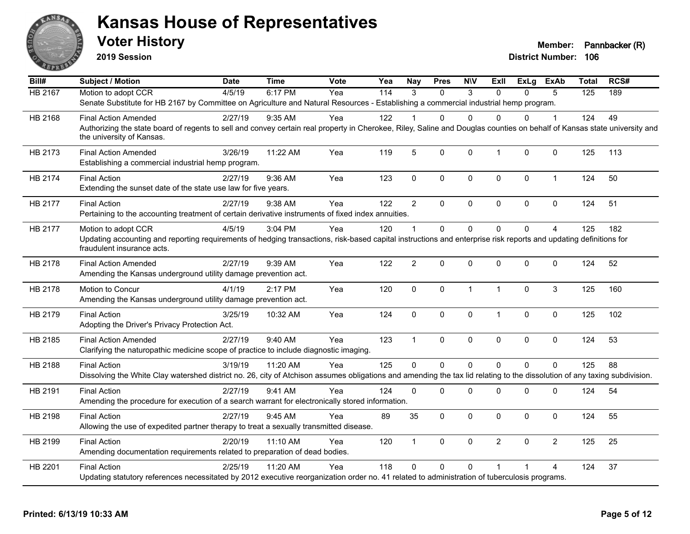

**2019 Session**

| Bill#          | <b>Subject / Motion</b>                                                                                                                                                                                               | <b>Date</b> | <b>Time</b> | <b>Vote</b> | Yea | Nay             | <b>Pres</b> | <b>NIV</b>   | ExII           | ExLg     | ExAb           | <b>Total</b> | RCS# |
|----------------|-----------------------------------------------------------------------------------------------------------------------------------------------------------------------------------------------------------------------|-------------|-------------|-------------|-----|-----------------|-------------|--------------|----------------|----------|----------------|--------------|------|
| <b>HB 2167</b> | Motion to adopt CCR                                                                                                                                                                                                   | 4/5/19      | 6:17 PM     | Yea         | 114 | 3               | $\Omega$    | 3            | $\Omega$       | 0        | 5              | 125          | 189  |
|                | Senate Substitute for HB 2167 by Committee on Agriculture and Natural Resources - Establishing a commercial industrial hemp program.                                                                                  |             |             |             |     |                 |             |              |                |          |                |              |      |
| HB 2168        | <b>Final Action Amended</b>                                                                                                                                                                                           | 2/27/19     | $9:35$ AM   | Yea         | 122 |                 | 0           | $\Omega$     | $\Omega$       | 0        | 1              | 124          | 49   |
|                | Authorizing the state board of regents to sell and convey certain real property in Cherokee, Riley, Saline and Douglas counties on behalf of Kansas state university and<br>the university of Kansas.                 |             |             |             |     |                 |             |              |                |          |                |              |      |
| HB 2173        | <b>Final Action Amended</b><br>Establishing a commercial industrial hemp program.                                                                                                                                     | 3/26/19     | 11:22 AM    | Yea         | 119 | $5\phantom{.0}$ | 0           | $\mathbf 0$  | $\mathbf{1}$   | 0        | 0              | 125          | 113  |
| HB 2174        | <b>Final Action</b><br>Extending the sunset date of the state use law for five years.                                                                                                                                 | 2/27/19     | 9:36 AM     | Yea         | 123 | $\mathbf 0$     | 0           | $\mathbf 0$  | $\mathbf 0$    | 0        | $\mathbf{1}$   | 124          | 50   |
| HB 2177        | <b>Final Action</b><br>Pertaining to the accounting treatment of certain derivative instruments of fixed index annuities.                                                                                             | 2/27/19     | 9:38 AM     | Yea         | 122 | $\overline{2}$  | 0           | $\mathbf 0$  | $\pmb{0}$      | 0        | 0              | 124          | 51   |
| HB 2177        | Motion to adopt CCR<br>Updating accounting and reporting requirements of hedging transactions, risk-based capital instructions and enterprise risk reports and updating definitions for<br>fraudulent insurance acts. | 4/5/19      | 3:04 PM     | Yea         | 120 | $\overline{1}$  | $\Omega$    | $\Omega$     | $\Omega$       | $\Omega$ | $\overline{4}$ | 125          | 182  |
| HB 2178        | <b>Final Action Amended</b><br>Amending the Kansas underground utility damage prevention act.                                                                                                                         | 2/27/19     | 9:39 AM     | Yea         | 122 | $\overline{2}$  | 0           | $\mathbf 0$  | $\mathbf 0$    | 0        | $\pmb{0}$      | 124          | 52   |
| HB 2178        | Motion to Concur<br>Amending the Kansas underground utility damage prevention act.                                                                                                                                    | 4/1/19      | 2:17 PM     | Yea         | 120 | $\pmb{0}$       | $\Omega$    | $\mathbf{1}$ | $\mathbf{1}$   | $\Omega$ | 3              | 125          | 160  |
| HB 2179        | <b>Final Action</b><br>Adopting the Driver's Privacy Protection Act.                                                                                                                                                  | 3/25/19     | 10:32 AM    | Yea         | 124 | $\pmb{0}$       | 0           | 0            | $\mathbf{1}$   | 0        | 0              | 125          | 102  |
| HB 2185        | <b>Final Action Amended</b><br>Clarifying the naturopathic medicine scope of practice to include diagnostic imaging.                                                                                                  | 2/27/19     | 9:40 AM     | Yea         | 123 | $\mathbf{1}$    | 0           | $\mathbf 0$  | $\mathbf 0$    | 0        | $\mathbf 0$    | 124          | 53   |
| HB 2188        | <b>Final Action</b><br>Dissolving the White Clay watershed district no. 26, city of Atchison assumes obligations and amending the tax lid relating to the dissolution of any taxing subdivision.                      | 3/19/19     | 11:20 AM    | Yea         | 125 | $\Omega$        | $\mathbf 0$ | $\mathbf 0$  | $\Omega$       | $\Omega$ | $\mathbf 0$    | 125          | 88   |
| HB 2191        | <b>Final Action</b><br>Amending the procedure for execution of a search warrant for electronically stored information.                                                                                                | 2/27/19     | 9:41 AM     | Yea         | 124 | $\mathbf{0}$    | 0           | 0            | $\mathbf 0$    | 0        | 0              | 124          | 54   |
| HB 2198        | <b>Final Action</b><br>Allowing the use of expedited partner therapy to treat a sexually transmitted disease.                                                                                                         | 2/27/19     | 9:45 AM     | Yea         | 89  | 35              | 0           | 0            | $\mathbf 0$    | 0        | $\mathbf 0$    | 124          | 55   |
| HB 2199        | <b>Final Action</b><br>Amending documentation requirements related to preparation of dead bodies.                                                                                                                     | 2/20/19     | 11:10 AM    | Yea         | 120 | $\mathbf{1}$    | $\Omega$    | $\mathbf 0$  | $\overline{2}$ | $\Omega$ | $\overline{2}$ | 125          | 25   |
| HB 2201        | <b>Final Action</b><br>Updating statutory references necessitated by 2012 executive reorganization order no. 41 related to administration of tuberculosis programs.                                                   | 2/25/19     | 11:20 AM    | Yea         | 118 | $\mathbf{0}$    | 0           | $\Omega$     |                |          | 4              | 124          | 37   |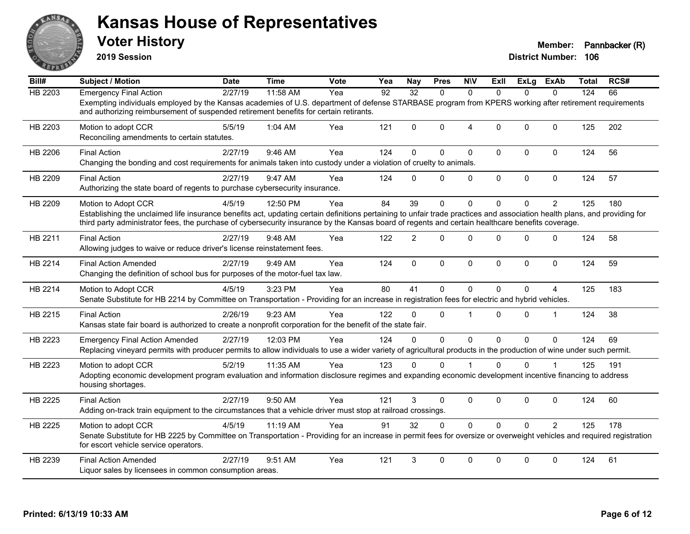

**2019 Session**

| Bill#          | <b>Subject / Motion</b>                                                                                                                                                                                                                                                                                                                              | <b>Date</b> | <b>Time</b> | <b>Vote</b> | Yea | <b>Nay</b>     | <b>Pres</b> | <b>NIV</b>     | Exll         | ExLg         | ExAb           | <b>Total</b> | RCS# |
|----------------|------------------------------------------------------------------------------------------------------------------------------------------------------------------------------------------------------------------------------------------------------------------------------------------------------------------------------------------------------|-------------|-------------|-------------|-----|----------------|-------------|----------------|--------------|--------------|----------------|--------------|------|
| <b>HB 2203</b> | <b>Emergency Final Action</b>                                                                                                                                                                                                                                                                                                                        | 2/27/19     | 11:58 AM    | Yea         | 92  | 32             | $\Omega$    | $\Omega$       | $\Omega$     | $\Omega$     | $\Omega$       | 124          | 66   |
|                | Exempting individuals employed by the Kansas academies of U.S. department of defense STARBASE program from KPERS working after retirement requirements<br>and authorizing reimbursement of suspended retirement benefits for certain retirants.                                                                                                      |             |             |             |     |                |             |                |              |              |                |              |      |
| HB 2203        | Motion to adopt CCR<br>Reconciling amendments to certain statutes.                                                                                                                                                                                                                                                                                   | 5/5/19      | 1:04 AM     | Yea         | 121 | $\Omega$       | $\Omega$    | $\overline{4}$ | $\Omega$     | $\Omega$     | $\mathbf{0}$   | 125          | 202  |
| HB 2206        | <b>Final Action</b><br>Changing the bonding and cost requirements for animals taken into custody under a violation of cruelty to animals.                                                                                                                                                                                                            | 2/27/19     | 9:46 AM     | Yea         | 124 | $\Omega$       | $\Omega$    | $\mathbf{0}$   | $\mathbf{0}$ | $\Omega$     | $\mathbf 0$    | 124          | 56   |
| HB 2209        | <b>Final Action</b><br>Authorizing the state board of regents to purchase cybersecurity insurance.                                                                                                                                                                                                                                                   | 2/27/19     | 9:47 AM     | Yea         | 124 | $\Omega$       | $\Omega$    | 0              | $\mathbf 0$  | 0            | $\mathbf 0$    | 124          | 57   |
| HB 2209        | Motion to Adopt CCR<br>Establishing the unclaimed life insurance benefits act, updating certain definitions pertaining to unfair trade practices and association health plans, and providing for<br>third party administrator fees, the purchase of cybersecurity insurance by the Kansas board of regents and certain healthcare benefits coverage. | 4/5/19      | 12:50 PM    | Yea         | 84  | 39             | 0           | $\mathbf{0}$   | $\Omega$     | $\Omega$     | $\overline{2}$ | 125          | 180  |
| HB 2211        | <b>Final Action</b><br>Allowing judges to waive or reduce driver's license reinstatement fees.                                                                                                                                                                                                                                                       | 2/27/19     | 9:48 AM     | Yea         | 122 | $\overline{2}$ | $\Omega$    | $\Omega$       | $\Omega$     | $\mathbf{0}$ | 0              | 124          | 58   |
| HB 2214        | <b>Final Action Amended</b><br>Changing the definition of school bus for purposes of the motor-fuel tax law.                                                                                                                                                                                                                                         | 2/27/19     | 9:49 AM     | Yea         | 124 | $\mathbf 0$    | 0           | $\mathbf 0$    | $\mathbf 0$  | 0            | $\mathbf 0$    | 124          | 59   |
| HB 2214        | Motion to Adopt CCR<br>Senate Substitute for HB 2214 by Committee on Transportation - Providing for an increase in registration fees for electric and hybrid vehicles.                                                                                                                                                                               | 4/5/19      | 3:23 PM     | Yea         | 80  | 41             | 0           | $\Omega$       | $\Omega$     | $\Omega$     | 4              | 125          | 183  |
| HB 2215        | <b>Final Action</b><br>Kansas state fair board is authorized to create a nonprofit corporation for the benefit of the state fair.                                                                                                                                                                                                                    | 2/26/19     | 9:23 AM     | Yea         | 122 | $\Omega$       | $\Omega$    | $\mathbf 1$    | $\Omega$     | $\Omega$     | $\overline{1}$ | 124          | 38   |
| HB 2223        | <b>Emergency Final Action Amended</b><br>Replacing vineyard permits with producer permits to allow individuals to use a wider variety of agricultural products in the production of wine under such permit.                                                                                                                                          | 2/27/19     | 12:03 PM    | Yea         | 124 | $\Omega$       | $\Omega$    | $\Omega$       | $\Omega$     | $\Omega$     | $\Omega$       | 124          | 69   |
| HB 2223        | Motion to adopt CCR<br>Adopting economic development program evaluation and information disclosure regimes and expanding economic development incentive financing to address<br>housing shortages.                                                                                                                                                   | 5/2/19      | 11:35 AM    | Yea         | 123 | $\Omega$       | $\Omega$    |                | $\Omega$     | 0            |                | 125          | 191  |
| HB 2225        | <b>Final Action</b><br>Adding on-track train equipment to the circumstances that a vehicle driver must stop at railroad crossings.                                                                                                                                                                                                                   | 2/27/19     | 9:50 AM     | Yea         | 121 | 3              | 0           | $\mathbf 0$    | $\mathbf 0$  | $\mathbf{0}$ | 0              | 124          | 60   |
| HB 2225        | Motion to adopt CCR<br>Senate Substitute for HB 2225 by Committee on Transportation - Providing for an increase in permit fees for oversize or overweight vehicles and required registration<br>for escort vehicle service operators.                                                                                                                | 4/5/19      | 11:19 AM    | Yea         | 91  | 32             | $\Omega$    | $\mathbf 0$    | $\Omega$     | $\Omega$     | $\overline{2}$ | 125          | 178  |
| HB 2239        | <b>Final Action Amended</b><br>Liquor sales by licensees in common consumption areas.                                                                                                                                                                                                                                                                | 2/27/19     | 9:51 AM     | Yea         | 121 | 3              | $\Omega$    | $\Omega$       | $\mathbf{0}$ | $\Omega$     | $\Omega$       | 124          | 61   |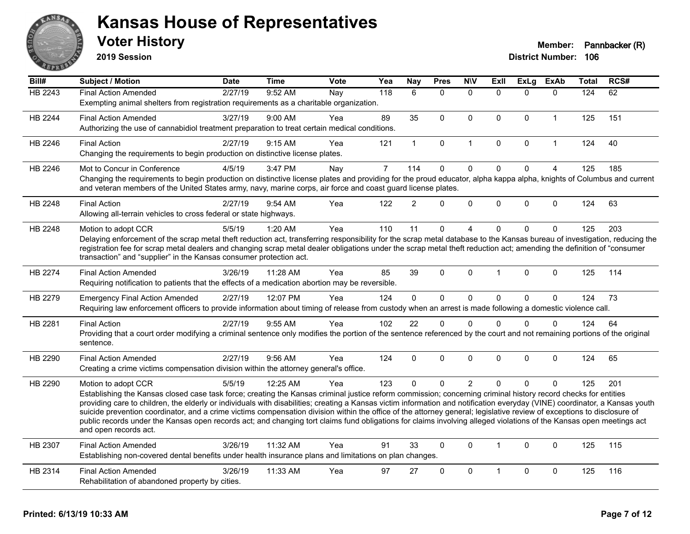

**2019 Session**

| Bill#   | <b>Subject / Motion</b>                                                                                                                                                                                                                                                                                                                               | <b>Date</b> | <b>Time</b> | Vote | Yea            | <b>Nay</b>    | <b>Pres</b>  | <b>NIV</b>     | Exll                    | ExLg         | <b>ExAb</b>  | <b>Total</b> | RCS# |
|---------|-------------------------------------------------------------------------------------------------------------------------------------------------------------------------------------------------------------------------------------------------------------------------------------------------------------------------------------------------------|-------------|-------------|------|----------------|---------------|--------------|----------------|-------------------------|--------------|--------------|--------------|------|
| HB 2243 | <b>Final Action Amended</b>                                                                                                                                                                                                                                                                                                                           | 2/27/19     | 9:52 AM     | Nay  | 118            | 6             | $\Omega$     | $\mathbf{0}$   | $\Omega$                | $\Omega$     | $\Omega$     | 124          | 62   |
|         | Exempting animal shelters from registration requirements as a charitable organization.                                                                                                                                                                                                                                                                |             |             |      |                |               |              |                |                         |              |              |              |      |
| HB 2244 | <b>Final Action Amended</b>                                                                                                                                                                                                                                                                                                                           | 3/27/19     | 9:00 AM     | Yea  | 89             | 35            | $\mathbf{0}$ | $\mathbf{0}$   | $\Omega$                | $\Omega$     | $\mathbf{1}$ | 125          | 151  |
|         | Authorizing the use of cannabidiol treatment preparation to treat certain medical conditions.                                                                                                                                                                                                                                                         |             |             |      |                |               |              |                |                         |              |              |              |      |
| HB 2246 | <b>Final Action</b>                                                                                                                                                                                                                                                                                                                                   | 2/27/19     | 9:15 AM     | Yea  | 121            | $\mathbf{1}$  | 0            | $\overline{1}$ | $\Omega$                | $\mathbf 0$  | $\mathbf{1}$ | 124          | 40   |
|         | Changing the requirements to begin production on distinctive license plates.                                                                                                                                                                                                                                                                          |             |             |      |                |               |              |                |                         |              |              |              |      |
| HB 2246 | Mot to Concur in Conference                                                                                                                                                                                                                                                                                                                           | 4/5/19      | 3:47 PM     | Nay  | $\overline{7}$ | 114           | $\mathbf 0$  | $\mathbf 0$    | $\Omega$                | $\mathbf{0}$ | 4            | 125          | 185  |
|         | Changing the requirements to begin production on distinctive license plates and providing for the proud educator, alpha kappa alpha, knights of Columbus and current<br>and veteran members of the United States army, navy, marine corps, air force and coast guard license plates.                                                                  |             |             |      |                |               |              |                |                         |              |              |              |      |
| HB 2248 | <b>Final Action</b>                                                                                                                                                                                                                                                                                                                                   | 2/27/19     | 9:54 AM     | Yea  | 122            | $\mathcal{P}$ | $\Omega$     | $\pmb{0}$      | 0                       | 0            | $\mathbf 0$  | 124          | 63   |
|         | Allowing all-terrain vehicles to cross federal or state highways.                                                                                                                                                                                                                                                                                     |             |             |      |                |               |              |                |                         |              |              |              |      |
| HB 2248 | Motion to adopt CCR                                                                                                                                                                                                                                                                                                                                   | 5/5/19      | 1:20 AM     | Yea  | 110            | 11            | $\mathbf 0$  | $\overline{4}$ | $\Omega$                | 0            | $\mathbf 0$  | 125          | 203  |
|         | Delaying enforcement of the scrap metal theft reduction act, transferring responsibility for the scrap metal database to the Kansas bureau of investigation, reducing the                                                                                                                                                                             |             |             |      |                |               |              |                |                         |              |              |              |      |
|         | registration fee for scrap metal dealers and changing scrap metal dealer obligations under the scrap metal theft reduction act; amending the definition of "consumer<br>transaction" and "supplier" in the Kansas consumer protection act.                                                                                                            |             |             |      |                |               |              |                |                         |              |              |              |      |
|         |                                                                                                                                                                                                                                                                                                                                                       |             |             |      |                |               |              |                |                         |              |              |              |      |
| HB 2274 | <b>Final Action Amended</b>                                                                                                                                                                                                                                                                                                                           | 3/26/19     | 11:28 AM    | Yea  | 85             | 39            | $\Omega$     | $\mathbf{0}$   | $\overline{\mathbf{1}}$ | $\Omega$     | 0            | 125          | 114  |
|         | Requiring notification to patients that the effects of a medication abortion may be reversible.                                                                                                                                                                                                                                                       |             |             |      |                |               |              |                |                         |              |              |              |      |
| HB 2279 | <b>Emergency Final Action Amended</b>                                                                                                                                                                                                                                                                                                                 | 2/27/19     | 12:07 PM    | Yea  | 124            | 0             | $\mathbf 0$  | $\pmb{0}$      | 0                       | 0            | $\pmb{0}$    | 124          | 73   |
|         | Requiring law enforcement officers to provide information about timing of release from custody when an arrest is made following a domestic violence call.                                                                                                                                                                                             |             |             |      |                |               |              |                |                         |              |              |              |      |
| HB 2281 | <b>Final Action</b>                                                                                                                                                                                                                                                                                                                                   | 2/27/19     | 9:55 AM     | Yea  | 102            | 22            | $\mathbf{0}$ | $\mathbf{0}$   | $\Omega$                | $\Omega$     | $\Omega$     | 124          | 64   |
|         | Providing that a court order modifying a criminal sentence only modifies the portion of the sentence referenced by the court and not remaining portions of the original                                                                                                                                                                               |             |             |      |                |               |              |                |                         |              |              |              |      |
|         | sentence.                                                                                                                                                                                                                                                                                                                                             |             |             |      |                |               |              |                |                         |              |              |              |      |
| HB 2290 | <b>Final Action Amended</b>                                                                                                                                                                                                                                                                                                                           | 2/27/19     | 9:56 AM     | Yea  | 124            | $\Omega$      | $\mathbf{0}$ | $\mathbf 0$    | $\Omega$                | $\Omega$     | 0            | 124          | 65   |
|         | Creating a crime victims compensation division within the attorney general's office.                                                                                                                                                                                                                                                                  |             |             |      |                |               |              |                |                         |              |              |              |      |
| HB 2290 | Motion to adopt CCR                                                                                                                                                                                                                                                                                                                                   | 5/5/19      | 12:25 AM    | Yea  | 123            | $\Omega$      | $\Omega$     | $\overline{2}$ | $\Omega$                | $\Omega$     | $\Omega$     | 125          | 201  |
|         | Establishing the Kansas closed case task force; creating the Kansas criminal justice reform commission; concerning criminal history record checks for entities                                                                                                                                                                                        |             |             |      |                |               |              |                |                         |              |              |              |      |
|         | providing care to children, the elderly or individuals with disabilities; creating a Kansas victim information and notification everyday (VINE) coordinator, a Kansas youth<br>suicide prevention coordinator, and a crime victims compensation division within the office of the attorney general; legislative review of exceptions to disclosure of |             |             |      |                |               |              |                |                         |              |              |              |      |
|         | public records under the Kansas open records act; and changing tort claims fund obligations for claims involving alleged violations of the Kansas open meetings act                                                                                                                                                                                   |             |             |      |                |               |              |                |                         |              |              |              |      |
|         | and open records act.                                                                                                                                                                                                                                                                                                                                 |             |             |      |                |               |              |                |                         |              |              |              |      |
| HB 2307 | <b>Final Action Amended</b>                                                                                                                                                                                                                                                                                                                           | 3/26/19     | 11:32 AM    | Yea  | 91             | 33            | $\mathbf 0$  | $\Omega$       | $\mathbf{1}$            | $\Omega$     | $\Omega$     | 125          | 115  |
|         | Establishing non-covered dental benefits under health insurance plans and limitations on plan changes.                                                                                                                                                                                                                                                |             |             |      |                |               |              |                |                         |              |              |              |      |
| HB 2314 | <b>Final Action Amended</b>                                                                                                                                                                                                                                                                                                                           | 3/26/19     | 11:33 AM    | Yea  | 97             | 27            | $\mathbf{0}$ | $\mathbf 0$    | 1                       | 0            | $\mathbf 0$  | 125          | 116  |
|         | Rehabilitation of abandoned property by cities.                                                                                                                                                                                                                                                                                                       |             |             |      |                |               |              |                |                         |              |              |              |      |
|         |                                                                                                                                                                                                                                                                                                                                                       |             |             |      |                |               |              |                |                         |              |              |              |      |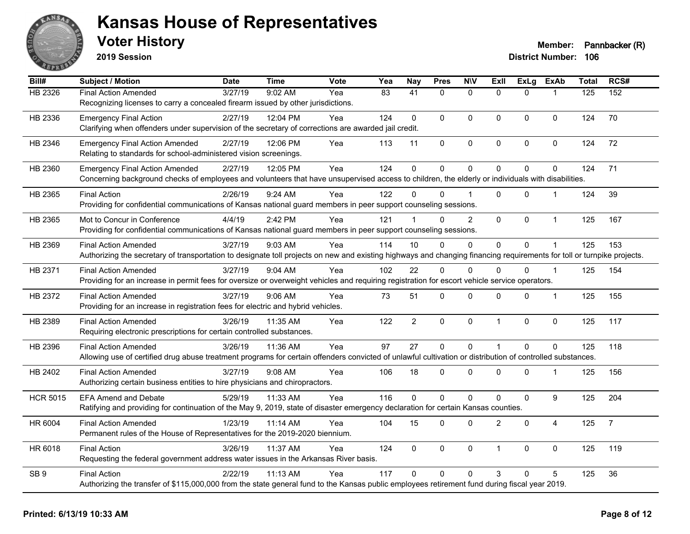

**2019 Session**

| Bill#           | <b>Subject / Motion</b>                                                                                                                                                | <b>Date</b> | <b>Time</b> | <b>Vote</b> | Yea             | <b>Nay</b>           | <b>Pres</b>  | <b>N\V</b>          | Exll           | <b>ExLg</b>    | <b>ExAb</b>    | <b>Total</b> | RCS#           |
|-----------------|------------------------------------------------------------------------------------------------------------------------------------------------------------------------|-------------|-------------|-------------|-----------------|----------------------|--------------|---------------------|----------------|----------------|----------------|--------------|----------------|
| HB 2326         | <b>Final Action Amended</b>                                                                                                                                            | 3/27/19     | 9:02 AM     | Yea         | $\overline{83}$ | $\overline{41}$      | $\Omega$     | $\mathbf{0}$        | $\Omega$       | $\Omega$       |                | 125          | 152            |
|                 | Recognizing licenses to carry a concealed firearm issued by other jurisdictions.                                                                                       |             |             |             |                 |                      |              |                     |                |                |                |              |                |
| HB 2336         | <b>Emergency Final Action</b>                                                                                                                                          | 2/27/19     | 12:04 PM    | Yea         | 124             | $\mathbf{0}$         | $\Omega$     | $\Omega$            | $\mathbf{0}$   | $\mathbf{0}$   | 0              | 124          | 70             |
|                 | Clarifying when offenders under supervision of the secretary of corrections are awarded jail credit.                                                                   |             |             |             |                 |                      |              |                     |                |                |                |              |                |
| HB 2346         | <b>Emergency Final Action Amended</b>                                                                                                                                  | 2/27/19     | 12:06 PM    | Yea         | 113             | 11                   | 0            | $\mathsf{O}\xspace$ | $\pmb{0}$      | 0              | $\mathbf 0$    | 124          | 72             |
|                 | Relating to standards for school-administered vision screenings.                                                                                                       |             |             |             |                 |                      |              |                     |                |                |                |              |                |
| HB 2360         | <b>Emergency Final Action Amended</b>                                                                                                                                  | 2/27/19     | 12:05 PM    | Yea         | 124             | $\mathbf 0$          | $\mathbf 0$  | 0                   | $\mathbf{0}$   | 0              | 0              | 124          | 71             |
|                 | Concerning background checks of employees and volunteers that have unsupervised access to children, the elderly or individuals with disabilities.                      |             |             |             |                 |                      |              |                     |                |                |                |              |                |
| HB 2365         | <b>Final Action</b>                                                                                                                                                    | 2/26/19     | $9:24$ AM   | Yea         | 122             | 0                    | 0            | 1                   | $\Omega$       | 0              | -1             | 124          | 39             |
|                 | Providing for confidential communications of Kansas national guard members in peer support counseling sessions.                                                        |             |             |             |                 |                      |              |                     |                |                |                |              |                |
| HB 2365         | Mot to Concur in Conference                                                                                                                                            | 4/4/19      | 2:42 PM     | Yea         | 121             | $\blacktriangleleft$ | $\Omega$     | $\overline{2}$      | $\mathbf 0$    | 0              | $\mathbf 1$    | 125          | 167            |
|                 | Providing for confidential communications of Kansas national guard members in peer support counseling sessions.                                                        |             |             |             |                 |                      |              |                     |                |                |                |              |                |
| HB 2369         | <b>Final Action Amended</b>                                                                                                                                            | 3/27/19     | 9:03 AM     | Yea         | 114             | 10                   | $\Omega$     | 0                   | $\Omega$       | 0              |                | 125          | 153            |
|                 | Authorizing the secretary of transportation to designate toll projects on new and existing highways and changing financing requirements for toll or turnpike projects. |             |             |             |                 |                      |              |                     |                |                |                |              |                |
| HB 2371         | <b>Final Action Amended</b>                                                                                                                                            | 3/27/19     | $9:04$ AM   | Yea         | 102             | 22                   | $\Omega$     | $\Omega$            | $\Omega$       | 0              | $\overline{1}$ | 125          | 154            |
|                 | Providing for an increase in permit fees for oversize or overweight vehicles and requiring registration for escort vehicle service operators.                          |             |             |             |                 |                      |              |                     |                |                |                |              |                |
| HB 2372         | <b>Final Action Amended</b>                                                                                                                                            | 3/27/19     | 9:06 AM     | Yea         | 73              | 51                   | 0            | 0                   | $\mathbf 0$    | 0              | -1             | 125          | 155            |
|                 | Providing for an increase in registration fees for electric and hybrid vehicles.                                                                                       |             |             |             |                 |                      |              |                     |                |                |                |              |                |
| HB 2389         | <b>Final Action Amended</b>                                                                                                                                            | 3/26/19     | 11:35 AM    | Yea         | 122             | $\overline{2}$       | $\mathbf 0$  | 0                   | $\overline{1}$ | 0              | $\pmb{0}$      | 125          | 117            |
|                 | Requiring electronic prescriptions for certain controlled substances.                                                                                                  |             |             |             |                 |                      |              |                     |                |                |                |              |                |
| HB 2396         | <b>Final Action Amended</b>                                                                                                                                            | 3/26/19     | 11:36 AM    | Yea         | 97              | 27                   | $\mathbf 0$  | $\mathbf{0}$        | $\overline{1}$ | $\overline{0}$ | $\Omega$       | 125          | 118            |
|                 | Allowing use of certified drug abuse treatment programs for certain offenders convicted of unlawful cultivation or distribution of controlled substances.              |             |             |             |                 |                      |              |                     |                |                |                |              |                |
| HB 2402         | <b>Final Action Amended</b>                                                                                                                                            | 3/27/19     | 9:08 AM     | Yea         | 106             | 18                   | $\mathbf 0$  | 0                   | 0              | 0              | -1             | 125          | 156            |
|                 | Authorizing certain business entities to hire physicians and chiropractors.                                                                                            |             |             |             |                 |                      |              |                     |                |                |                |              |                |
| <b>HCR 5015</b> | <b>EFA Amend and Debate</b>                                                                                                                                            | 5/29/19     | 11:33 AM    | Yea         | 116             | $\mathbf{0}$         | $\mathbf 0$  | $\mathbf 0$         | $\Omega$       | 0              | 9              | 125          | 204            |
|                 | Ratifying and providing for continuation of the May 9, 2019, state of disaster emergency declaration for certain Kansas counties.                                      |             |             |             |                 |                      |              |                     |                |                |                |              |                |
| HR 6004         | <b>Final Action Amended</b>                                                                                                                                            | 1/23/19     | 11:14 AM    | Yea         | 104             | 15                   | $\Omega$     | $\Omega$            | $\overline{2}$ | $\mathbf{0}$   | $\overline{4}$ | 125          | $\overline{7}$ |
|                 | Permanent rules of the House of Representatives for the 2019-2020 biennium.                                                                                            |             |             |             |                 |                      |              |                     |                |                |                |              |                |
| HR 6018         | <b>Final Action</b>                                                                                                                                                    | 3/26/19     | 11:37 AM    | Yea         | 124             | $\mathbf{0}$         | $\mathbf{0}$ | $\mathbf 0$         | $\overline{1}$ | 0              | $\mathbf 0$    | 125          | 119            |
|                 | Requesting the federal government address water issues in the Arkansas River basis.                                                                                    |             |             |             |                 |                      |              |                     |                |                |                |              |                |
| SB <sub>9</sub> | <b>Final Action</b>                                                                                                                                                    | 2/22/19     | 11:13 AM    | Yea         | 117             | $\Omega$             | $\mathbf{0}$ | $\Omega$            | 3              | 0              | 5              | 125          | 36             |
|                 | Authorizing the transfer of \$115,000,000 from the state general fund to the Kansas public employees retirement fund during fiscal year 2019.                          |             |             |             |                 |                      |              |                     |                |                |                |              |                |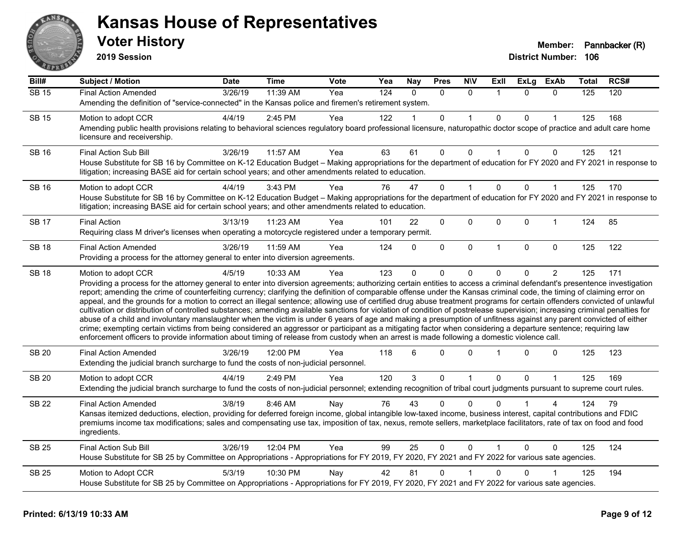

**2019 Session**

| Bill#        | <b>Subject / Motion</b>                                                                                                                                                                                                                                                                                                                                                                                                                                                                                                                                                                                                                                                                                                                                                                                                                                                                                                                                                                                                                                                                                                                                                                              | Date    | <b>Time</b> | Vote | Yea | <b>Nay</b>   | <b>Pres</b>  | <b>N\V</b>   | Exll           | ExLg     | <b>ExAb</b>    | Total | RCS# |
|--------------|------------------------------------------------------------------------------------------------------------------------------------------------------------------------------------------------------------------------------------------------------------------------------------------------------------------------------------------------------------------------------------------------------------------------------------------------------------------------------------------------------------------------------------------------------------------------------------------------------------------------------------------------------------------------------------------------------------------------------------------------------------------------------------------------------------------------------------------------------------------------------------------------------------------------------------------------------------------------------------------------------------------------------------------------------------------------------------------------------------------------------------------------------------------------------------------------------|---------|-------------|------|-----|--------------|--------------|--------------|----------------|----------|----------------|-------|------|
| $SB$ 15      | <b>Final Action Amended</b>                                                                                                                                                                                                                                                                                                                                                                                                                                                                                                                                                                                                                                                                                                                                                                                                                                                                                                                                                                                                                                                                                                                                                                          | 3/26/19 | 11:39 AM    | Yea  | 124 | $\Omega$     | $\Omega$     | $\Omega$     | $\overline{1}$ | $\Omega$ | $\Omega$       | 125   | 120  |
|              | Amending the definition of "service-connected" in the Kansas police and firemen's retirement system.                                                                                                                                                                                                                                                                                                                                                                                                                                                                                                                                                                                                                                                                                                                                                                                                                                                                                                                                                                                                                                                                                                 |         |             |      |     |              |              |              |                |          |                |       |      |
| <b>SB 15</b> | Motion to adopt CCR                                                                                                                                                                                                                                                                                                                                                                                                                                                                                                                                                                                                                                                                                                                                                                                                                                                                                                                                                                                                                                                                                                                                                                                  | 4/4/19  | 2:45 PM     | Yea  | 122 |              | $\mathbf{0}$ |              | $\mathbf{0}$   | 0        |                | 125   | 168  |
|              | Amending public health provisions relating to behavioral sciences regulatory board professional licensure, naturopathic doctor scope of practice and adult care home<br>licensure and receivership.                                                                                                                                                                                                                                                                                                                                                                                                                                                                                                                                                                                                                                                                                                                                                                                                                                                                                                                                                                                                  |         |             |      |     |              |              |              |                |          |                |       |      |
| <b>SB 16</b> | <b>Final Action Sub Bill</b>                                                                                                                                                                                                                                                                                                                                                                                                                                                                                                                                                                                                                                                                                                                                                                                                                                                                                                                                                                                                                                                                                                                                                                         | 3/26/19 | 11:57 AM    | Yea  | 63  | 61           | 0            | 0            |                | 0        | 0              | 125   | 121  |
|              | House Substitute for SB 16 by Committee on K-12 Education Budget - Making appropriations for the department of education for FY 2020 and FY 2021 in response to<br>litigation; increasing BASE aid for certain school years; and other amendments related to education.                                                                                                                                                                                                                                                                                                                                                                                                                                                                                                                                                                                                                                                                                                                                                                                                                                                                                                                              |         |             |      |     |              |              |              |                |          |                |       |      |
| <b>SB 16</b> | Motion to adopt CCR                                                                                                                                                                                                                                                                                                                                                                                                                                                                                                                                                                                                                                                                                                                                                                                                                                                                                                                                                                                                                                                                                                                                                                                  | 4/4/19  | 3:43 PM     | Yea  | 76  | 47           | $\Omega$     | $\mathbf 1$  | $\Omega$       | $\Omega$ | $\mathbf{1}$   | 125   | 170  |
|              | House Substitute for SB 16 by Committee on K-12 Education Budget - Making appropriations for the department of education for FY 2020 and FY 2021 in response to<br>litigation; increasing BASE aid for certain school years; and other amendments related to education.                                                                                                                                                                                                                                                                                                                                                                                                                                                                                                                                                                                                                                                                                                                                                                                                                                                                                                                              |         |             |      |     |              |              |              |                |          |                |       |      |
| <b>SB 17</b> | <b>Final Action</b>                                                                                                                                                                                                                                                                                                                                                                                                                                                                                                                                                                                                                                                                                                                                                                                                                                                                                                                                                                                                                                                                                                                                                                                  | 3/13/19 | 11:23 AM    | Yea  | 101 | 22           | $\Omega$     | 0            | $\mathbf{0}$   | 0        | $\mathbf{1}$   | 124   | 85   |
|              | Requiring class M driver's licenses when operating a motorcycle registered under a temporary permit.                                                                                                                                                                                                                                                                                                                                                                                                                                                                                                                                                                                                                                                                                                                                                                                                                                                                                                                                                                                                                                                                                                 |         |             |      |     |              |              |              |                |          |                |       |      |
| <b>SB 18</b> | <b>Final Action Amended</b>                                                                                                                                                                                                                                                                                                                                                                                                                                                                                                                                                                                                                                                                                                                                                                                                                                                                                                                                                                                                                                                                                                                                                                          | 3/26/19 | 11:59 AM    | Yea  | 124 | $\Omega$     | $\mathbf 0$  | $\mathbf 0$  | $\overline{1}$ | 0        | $\mathbf 0$    | 125   | 122  |
|              | Providing a process for the attorney general to enter into diversion agreements.                                                                                                                                                                                                                                                                                                                                                                                                                                                                                                                                                                                                                                                                                                                                                                                                                                                                                                                                                                                                                                                                                                                     |         |             |      |     |              |              |              |                |          |                |       |      |
| <b>SB 18</b> | Motion to adopt CCR                                                                                                                                                                                                                                                                                                                                                                                                                                                                                                                                                                                                                                                                                                                                                                                                                                                                                                                                                                                                                                                                                                                                                                                  | 4/5/19  | 10:33 AM    | Yea  | 123 | $\Omega$     | $\mathbf{0}$ | $\Omega$     | 0              | 0        | $\overline{2}$ | 125   | 171  |
|              | Providing a process for the attorney general to enter into diversion agreements; authorizing certain entities to access a criminal defendant's presentence investigation<br>report; amending the crime of counterfeiting currency; clarifying the definition of comparable offense under the Kansas criminal code, the timing of claiming error on<br>appeal, and the grounds for a motion to correct an illegal sentence; allowing use of certified drug abuse treatment programs for certain offenders convicted of unlawful<br>cultivation or distribution of controlled substances; amending available sanctions for violation of condition of postrelease supervision; increasing criminal penalties for<br>abuse of a child and involuntary manslaughter when the victim is under 6 years of age and making a presumption of unfitness against any parent convicted of either<br>crime; exempting certain victims from being considered an aggressor or participant as a mitigating factor when considering a departure sentence; requiring law<br>enforcement officers to provide information about timing of release from custody when an arrest is made following a domestic violence call. |         |             |      |     |              |              |              |                |          |                |       |      |
| <b>SB 20</b> | <b>Final Action Amended</b><br>Extending the judicial branch surcharge to fund the costs of non-judicial personnel.                                                                                                                                                                                                                                                                                                                                                                                                                                                                                                                                                                                                                                                                                                                                                                                                                                                                                                                                                                                                                                                                                  | 3/26/19 | 12:00 PM    | Yea  | 118 | 6            | 0            | $\Omega$     |                | 0        | 0              | 125   | 123  |
| <b>SB 20</b> | Motion to adopt CCR                                                                                                                                                                                                                                                                                                                                                                                                                                                                                                                                                                                                                                                                                                                                                                                                                                                                                                                                                                                                                                                                                                                                                                                  | 4/4/19  | 2:49 PM     | Yea  | 120 | $\mathbf{3}$ | $\mathbf 0$  | $\mathbf{1}$ | $\Omega$       | $\Omega$ | $\mathbf{1}$   | 125   | 169  |
|              | Extending the judicial branch surcharge to fund the costs of non-judicial personnel; extending recognition of tribal court judgments pursuant to supreme court rules.                                                                                                                                                                                                                                                                                                                                                                                                                                                                                                                                                                                                                                                                                                                                                                                                                                                                                                                                                                                                                                |         |             |      |     |              |              |              |                |          |                |       |      |
| <b>SB 22</b> | <b>Final Action Amended</b>                                                                                                                                                                                                                                                                                                                                                                                                                                                                                                                                                                                                                                                                                                                                                                                                                                                                                                                                                                                                                                                                                                                                                                          | 3/8/19  | 8:46 AM     | Nay  | 76  | 43           | $\Omega$     | $\Omega$     |                |          |                | 124   | 79   |
|              | Kansas itemized deductions, election, providing for deferred foreign income, global intangible low-taxed income, business interest, capital contributions and FDIC<br>premiums income tax modifications; sales and compensating use tax, imposition of tax, nexus, remote sellers, marketplace facilitators, rate of tax on food and food<br>ingredients.                                                                                                                                                                                                                                                                                                                                                                                                                                                                                                                                                                                                                                                                                                                                                                                                                                            |         |             |      |     |              |              |              |                |          |                |       |      |
| <b>SB 25</b> | <b>Final Action Sub Bill</b>                                                                                                                                                                                                                                                                                                                                                                                                                                                                                                                                                                                                                                                                                                                                                                                                                                                                                                                                                                                                                                                                                                                                                                         | 3/26/19 | 12:04 PM    | Yea  | 99  | 25           | $\mathbf{0}$ | $\mathbf{0}$ |                | $\Omega$ | $\Omega$       | 125   | 124  |
|              | House Substitute for SB 25 by Committee on Appropriations - Appropriations for FY 2019, FY 2020, FY 2021 and FY 2022 for various sate agencies.                                                                                                                                                                                                                                                                                                                                                                                                                                                                                                                                                                                                                                                                                                                                                                                                                                                                                                                                                                                                                                                      |         |             |      |     |              |              |              |                |          |                |       |      |
| <b>SB 25</b> | Motion to Adopt CCR                                                                                                                                                                                                                                                                                                                                                                                                                                                                                                                                                                                                                                                                                                                                                                                                                                                                                                                                                                                                                                                                                                                                                                                  | 5/3/19  | 10:30 PM    | Nay  | 42  | 81           | $\mathbf{0}$ |              | $\Omega$       | 0        |                | 125   | 194  |
|              | House Substitute for SB 25 by Committee on Appropriations - Appropriations for FY 2019, FY 2020, FY 2021 and FY 2022 for various sate agencies.                                                                                                                                                                                                                                                                                                                                                                                                                                                                                                                                                                                                                                                                                                                                                                                                                                                                                                                                                                                                                                                      |         |             |      |     |              |              |              |                |          |                |       |      |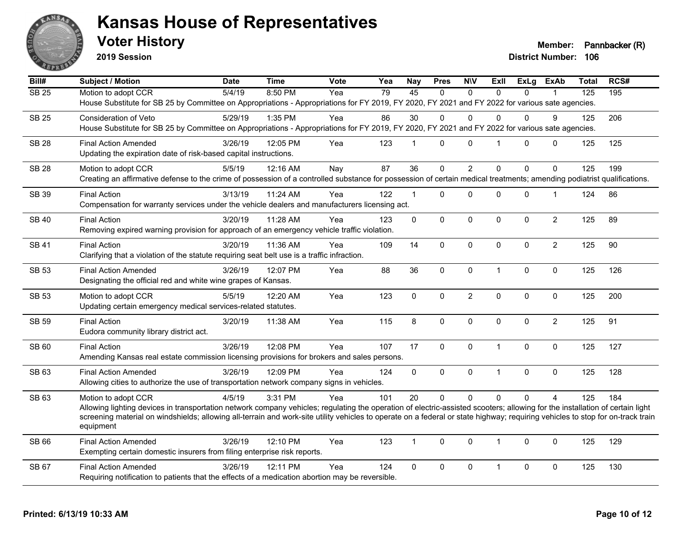

**2019 Session**

**Voter History Member: Pannbacker (R)** 

| Bill#        | Subject / Motion                                                                                                                                                                            | <b>Date</b> | <b>Time</b> | Vote | Yea | <b>Nay</b>     | <b>Pres</b>    | <b>N\V</b>     | ExII           | ExLg     | <b>ExAb</b>    | <b>Total</b>     | RCS# |
|--------------|---------------------------------------------------------------------------------------------------------------------------------------------------------------------------------------------|-------------|-------------|------|-----|----------------|----------------|----------------|----------------|----------|----------------|------------------|------|
| <b>SB 25</b> | Motion to adopt CCR                                                                                                                                                                         | 5/4/19      | 8:50 PM     | Yea  | 79  | 45             | $\Omega$       | $\Omega$       | $\Omega$       | $\Omega$ |                | $\overline{125}$ | 195  |
|              | House Substitute for SB 25 by Committee on Appropriations - Appropriations for FY 2019, FY 2020, FY 2021 and FY 2022 for various sate agencies.                                             |             |             |      |     |                |                |                |                |          |                |                  |      |
| <b>SB 25</b> | Consideration of Veto                                                                                                                                                                       | 5/29/19     | 1:35 PM     | Yea  | 86  | 30             | $\Omega$       | $\Omega$       | $\mathbf{0}$   | $\Omega$ | 9              | 125              | 206  |
|              | House Substitute for SB 25 by Committee on Appropriations - Appropriations for FY 2019, FY 2020, FY 2021 and FY 2022 for various sate agencies.                                             |             |             |      |     |                |                |                |                |          |                |                  |      |
| <b>SB 28</b> | <b>Final Action Amended</b>                                                                                                                                                                 | 3/26/19     | 12:05 PM    | Yea  | 123 | $\overline{1}$ | 0              | $\mathbf 0$    | $\overline{1}$ | 0        | $\mathbf 0$    | 125              | 125  |
|              | Updating the expiration date of risk-based capital instructions.                                                                                                                            |             |             |      |     |                |                |                |                |          |                |                  |      |
| <b>SB 28</b> | Motion to adopt CCR                                                                                                                                                                         | 5/5/19      | 12:16 AM    | Nay  | 87  | 36             | $\overline{0}$ | $\overline{2}$ | $\mathbf{0}$   | $\Omega$ | $\mathbf 0$    | 125              | 199  |
|              | Creating an affirmative defense to the crime of possession of a controlled substance for possession of certain medical treatments; amending podiatrist qualifications.                      |             |             |      |     |                |                |                |                |          |                |                  |      |
| <b>SB 39</b> | <b>Final Action</b>                                                                                                                                                                         | 3/13/19     | $11:24$ AM  | Yea  | 122 | $\overline{1}$ | $\Omega$       | 0              | $\mathbf{0}$   | 0        | 1              | 124              | 86   |
|              | Compensation for warranty services under the vehicle dealers and manufacturers licensing act.                                                                                               |             |             |      |     |                |                |                |                |          |                |                  |      |
| <b>SB40</b>  | <b>Final Action</b>                                                                                                                                                                         | 3/20/19     | 11:28 AM    | Yea  | 123 | $\mathbf 0$    | 0              | $\mathbf 0$    | $\mathbf 0$    | 0        | $\overline{2}$ | 125              | 89   |
|              | Removing expired warning provision for approach of an emergency vehicle traffic violation.                                                                                                  |             |             |      |     |                |                |                |                |          |                |                  |      |
| <b>SB 41</b> | <b>Final Action</b>                                                                                                                                                                         | 3/20/19     | 11:36 AM    | Yea  | 109 | 14             | $\Omega$       | $\mathbf{0}$   | $\mathbf{0}$   | $\Omega$ | $\overline{2}$ | 125              | 90   |
|              | Clarifying that a violation of the statute requiring seat belt use is a traffic infraction.                                                                                                 |             |             |      |     |                |                |                |                |          |                |                  |      |
| <b>SB 53</b> | <b>Final Action Amended</b>                                                                                                                                                                 | 3/26/19     | 12:07 PM    | Yea  | 88  | 36             | 0              | $\mathbf 0$    | $\mathbf{1}$   | 0        | $\pmb{0}$      | 125              | 126  |
|              | Designating the official red and white wine grapes of Kansas.                                                                                                                               |             |             |      |     |                |                |                |                |          |                |                  |      |
| SB 53        | Motion to adopt CCR                                                                                                                                                                         | 5/5/19      | 12:20 AM    | Yea  | 123 | $\mathbf 0$    | 0              | $\overline{c}$ | $\mathbf 0$    | 0        | 0              | 125              | 200  |
|              | Updating certain emergency medical services-related statutes.                                                                                                                               |             |             |      |     |                |                |                |                |          |                |                  |      |
| <b>SB 59</b> | <b>Final Action</b>                                                                                                                                                                         | 3/20/19     | 11:38 AM    | Yea  | 115 | 8              | 0              | $\mathbf 0$    | $\mathbf 0$    | $\Omega$ | $\overline{2}$ | 125              | 91   |
|              | Eudora community library district act.                                                                                                                                                      |             |             |      |     |                |                |                |                |          |                |                  |      |
| SB 60        | <b>Final Action</b>                                                                                                                                                                         | 3/26/19     | 12:08 PM    | Yea  | 107 | 17             | 0              | $\pmb{0}$      | $\mathbf{1}$   | 0        | $\pmb{0}$      | 125              | 127  |
|              | Amending Kansas real estate commission licensing provisions for brokers and sales persons.                                                                                                  |             |             |      |     |                |                |                |                |          |                |                  |      |
| SB 63        | <b>Final Action Amended</b>                                                                                                                                                                 | 3/26/19     | 12:09 PM    | Yea  | 124 | $\mathbf 0$    | 0              | $\mathbf 0$    | $\mathbf{1}$   | 0        | $\mathbf 0$    | 125              | 128  |
|              | Allowing cities to authorize the use of transportation network company signs in vehicles.                                                                                                   |             |             |      |     |                |                |                |                |          |                |                  |      |
| SB 63        | Motion to adopt CCR                                                                                                                                                                         | 4/5/19      | 3:31 PM     | Yea  | 101 | 20             | $\overline{0}$ | $\Omega$       | $\Omega$       | $\Omega$ | $\overline{4}$ | 125              | 184  |
|              | Allowing lighting devices in transportation network company vehicles; regulating the operation of electric-assisted scooters; allowing for the installation of certain light                |             |             |      |     |                |                |                |                |          |                |                  |      |
|              | screening material on windshields; allowing all-terrain and work-site utility vehicles to operate on a federal or state highway; requiring vehicles to stop for on-track train<br>equipment |             |             |      |     |                |                |                |                |          |                |                  |      |
| SB 66        | <b>Final Action Amended</b>                                                                                                                                                                 | 3/26/19     | 12:10 PM    | Yea  | 123 | $\overline{1}$ | $\Omega$       | $\Omega$       | $\mathbf{1}$   | $\Omega$ | $\mathbf 0$    | 125              | 129  |
|              | Exempting certain domestic insurers from filing enterprise risk reports.                                                                                                                    |             |             |      |     |                |                |                |                |          |                |                  |      |
| <b>SB 67</b> | <b>Final Action Amended</b>                                                                                                                                                                 | 3/26/19     | 12:11 PM    | Yea  | 124 | $\mathbf 0$    | 0              | $\mathbf 0$    | $\mathbf{1}$   | 0        | $\mathbf 0$    | 125              | 130  |
|              | Requiring notification to patients that the effects of a medication abortion may be reversible.                                                                                             |             |             |      |     |                |                |                |                |          |                |                  |      |
|              |                                                                                                                                                                                             |             |             |      |     |                |                |                |                |          |                |                  |      |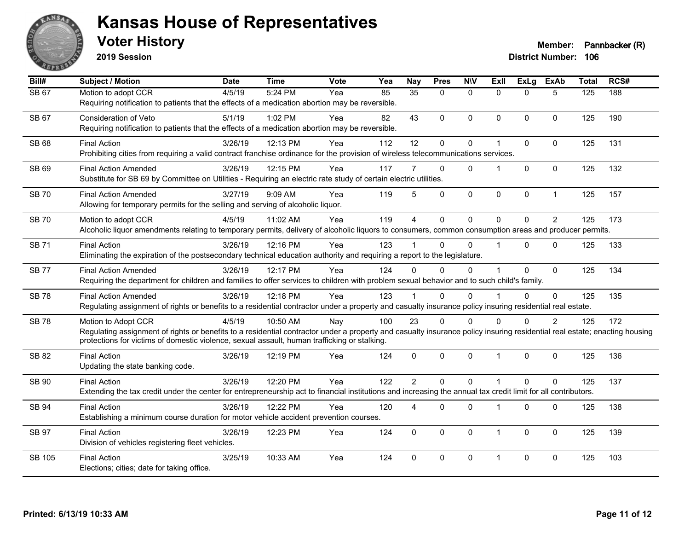

**2019 Session**

| Bill#        | <b>Subject / Motion</b>                                                                                                                                                                                                                                                                          | <b>Date</b> | <b>Time</b> | Vote | Yea | <b>Nay</b>      | <b>Pres</b> | <b>NIV</b>   | ExII                    | ExLg     | <b>ExAb</b>    | <b>Total</b> | RCS# |
|--------------|--------------------------------------------------------------------------------------------------------------------------------------------------------------------------------------------------------------------------------------------------------------------------------------------------|-------------|-------------|------|-----|-----------------|-------------|--------------|-------------------------|----------|----------------|--------------|------|
| SB 67        | Motion to adopt CCR<br>Requiring notification to patients that the effects of a medication abortion may be reversible.                                                                                                                                                                           | 4/5/19      | 5:24 PM     | Yea  | 85  | $\overline{35}$ | $\Omega$    | $\mathbf{0}$ | $\Omega$                | $\Omega$ | 5              | 125          | 188  |
| SB 67        | <b>Consideration of Veto</b><br>Requiring notification to patients that the effects of a medication abortion may be reversible.                                                                                                                                                                  | 5/1/19      | 1:02 PM     | Yea  | 82  | 43              | $\Omega$    | $\mathbf{0}$ | $\Omega$                | $\Omega$ | $\mathbf{0}$   | 125          | 190  |
| <b>SB 68</b> | <b>Final Action</b><br>Prohibiting cities from requiring a valid contract franchise ordinance for the provision of wireless telecommunications services.                                                                                                                                         | 3/26/19     | 12:13 PM    | Yea  | 112 | 12              | 0           | $\mathbf 0$  | $\overline{\mathbf{1}}$ | $\Omega$ | $\mathbf 0$    | 125          | 131  |
| <b>SB 69</b> | <b>Final Action Amended</b><br>Substitute for SB 69 by Committee on Utilities - Requiring an electric rate study of certain electric utilities.                                                                                                                                                  | 3/26/19     | 12:15 PM    | Yea  | 117 |                 | $\Omega$    | $\Omega$     |                         | $\Omega$ | $\mathbf{0}$   | 125          | 132  |
| <b>SB70</b>  | <b>Final Action Amended</b><br>Allowing for temporary permits for the selling and serving of alcoholic liquor.                                                                                                                                                                                   | 3/27/19     | 9:09 AM     | Yea  | 119 | 5               | 0           | $\mathbf 0$  | $\mathbf{0}$            | 0        | $\mathbf{1}$   | 125          | 157  |
| <b>SB70</b>  | Motion to adopt CCR<br>Alcoholic liquor amendments relating to temporary permits, delivery of alcoholic liquors to consumers, common consumption areas and producer permits.                                                                                                                     | 4/5/19      | 11:02 AM    | Yea  | 119 | $\overline{4}$  | $\mathbf 0$ | $\mathbf 0$  | $\Omega$                | $\Omega$ | $\overline{2}$ | 125          | 173  |
| <b>SB71</b>  | <b>Final Action</b><br>Eliminating the expiration of the postsecondary technical education authority and requiring a report to the legislature.                                                                                                                                                  | 3/26/19     | 12:16 PM    | Yea  | 123 |                 | $\Omega$    | $\Omega$     | $\blacktriangleleft$    | $\Omega$ | $\Omega$       | 125          | 133  |
| <b>SB77</b>  | <b>Final Action Amended</b><br>Requiring the department for children and families to offer services to children with problem sexual behavior and to such child's family.                                                                                                                         | 3/26/19     | 12:17 PM    | Yea  | 124 | 0               | $\Omega$    | $\mathbf{0}$ |                         | $\Omega$ | $\mathbf{0}$   | 125          | 134  |
| <b>SB78</b>  | <b>Final Action Amended</b><br>Regulating assignment of rights or benefits to a residential contractor under a property and casualty insurance policy insuring residential real estate.                                                                                                          | 3/26/19     | 12:18 PM    | Yea  | 123 |                 | $\Omega$    | $\Omega$     |                         | $\Omega$ | $\Omega$       | 125          | 135  |
| <b>SB78</b>  | Motion to Adopt CCR<br>Regulating assignment of rights or benefits to a residential contractor under a property and casualty insurance policy insuring residential real estate; enacting housing<br>protections for victims of domestic violence, sexual assault, human trafficking or stalking. | 4/5/19      | 10:50 AM    | Nay  | 100 | 23              | $\Omega$    | $\mathbf{0}$ | $\Omega$                | $\Omega$ | $\overline{2}$ | 125          | 172  |
| SB 82        | <b>Final Action</b><br>Updating the state banking code.                                                                                                                                                                                                                                          | 3/26/19     | 12:19 PM    | Yea  | 124 | $\mathbf{0}$    | $\mathbf 0$ | $\mathbf 0$  | $\overline{1}$          | $\Omega$ | $\mathbf 0$    | 125          | 136  |
| SB 90        | <b>Final Action</b><br>Extending the tax credit under the center for entrepreneurship act to financial institutions and increasing the annual tax credit limit for all contributors.                                                                                                             | 3/26/19     | 12:20 PM    | Yea  | 122 | $\overline{2}$  | $\Omega$    | $\Omega$     | $\overline{1}$          | $\Omega$ | $\Omega$       | 125          | 137  |
| SB 94        | <b>Final Action</b><br>Establishing a minimum course duration for motor vehicle accident prevention courses.                                                                                                                                                                                     | 3/26/19     | 12:22 PM    | Yea  | 120 | 4               | 0           | $\mathbf 0$  | $\overline{\mathbf{1}}$ | 0        | 0              | 125          | 138  |
| SB 97        | <b>Final Action</b><br>Division of vehicles registering fleet vehicles.                                                                                                                                                                                                                          | 3/26/19     | 12:23 PM    | Yea  | 124 | 0               | $\Omega$    | $\mathbf{0}$ | $\overline{1}$          | $\Omega$ | $\mathbf{0}$   | 125          | 139  |
| SB 105       | <b>Final Action</b><br>Elections; cities; date for taking office.                                                                                                                                                                                                                                | 3/25/19     | 10:33 AM    | Yea  | 124 | 0               | 0           | $\mathbf 0$  | -1                      | $\Omega$ | $\mathbf{0}$   | 125          | 103  |